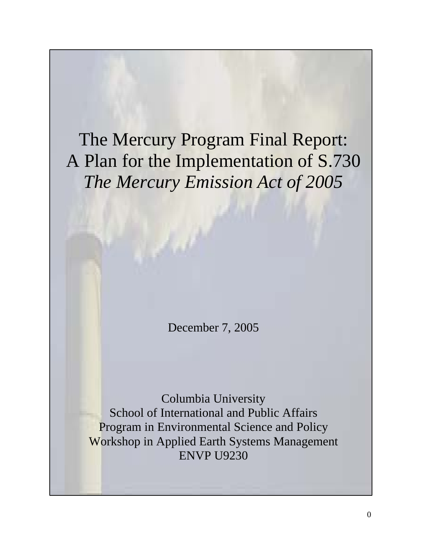The Mercury Program Final Report: A Plan for the Implementation of S.730 *The Mercury Emission Act of 2005*

December 7, 2005

Columbia University School of International and Public Affairs Program in Environmental Science and Policy Workshop in Applied Earth Systems Management ENVP U9230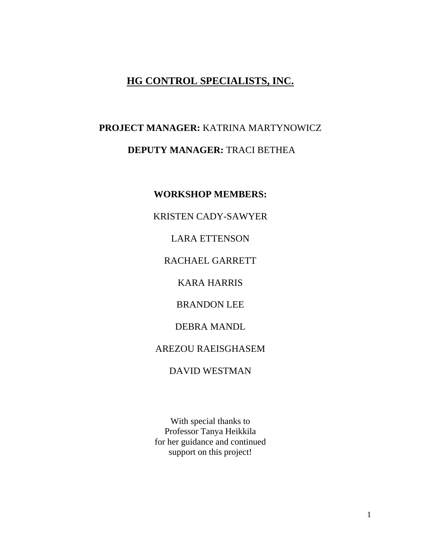# **HG CONTROL SPECIALISTS, INC.**

# **PROJECT MANAGER:** KATRINA MARTYNOWICZ **DEPUTY MANAGER:** TRACI BETHEA

**WORKSHOP MEMBERS:** 

KRISTEN CADY-SAWYER

LARA ETTENSON

RACHAEL GARRETT

KARA HARRIS

BRANDON LEE

DEBRA MANDL

AREZOU RAEISGHASEM

DAVID WESTMAN

With special thanks to Professor Tanya Heikkila for her guidance and continued support on this project!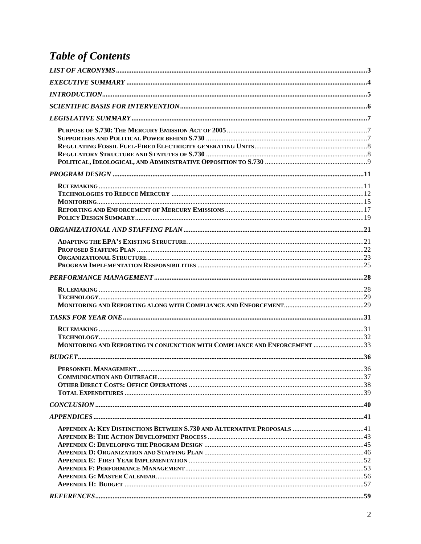# **Table of Contents**

| MONITORING AND REPORTING IN CONJUNCTION WITH COMPLIANCE AND ENFORCEMENT 33 |  |
|----------------------------------------------------------------------------|--|
|                                                                            |  |
|                                                                            |  |
|                                                                            |  |
|                                                                            |  |
|                                                                            |  |
|                                                                            |  |
|                                                                            |  |
|                                                                            |  |
|                                                                            |  |
|                                                                            |  |
|                                                                            |  |
|                                                                            |  |
|                                                                            |  |
|                                                                            |  |
|                                                                            |  |
|                                                                            |  |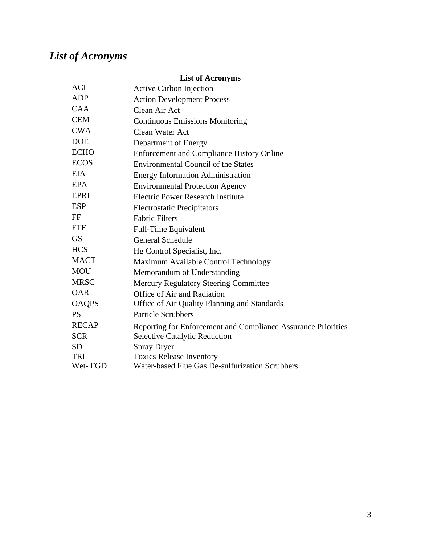# <span id="page-3-0"></span>*List of Acronyms*

# **List of Acronyms**

| <b>ACI</b>   | <b>Active Carbon Injection</b>                                |
|--------------|---------------------------------------------------------------|
| <b>ADP</b>   | <b>Action Development Process</b>                             |
| <b>CAA</b>   | Clean Air Act                                                 |
| <b>CEM</b>   | <b>Continuous Emissions Monitoring</b>                        |
| <b>CWA</b>   | <b>Clean Water Act</b>                                        |
| <b>DOE</b>   | Department of Energy                                          |
| <b>ECHO</b>  | <b>Enforcement and Compliance History Online</b>              |
| <b>ECOS</b>  | <b>Environmental Council of the States</b>                    |
| <b>EIA</b>   | <b>Energy Information Administration</b>                      |
| EPA          | <b>Environmental Protection Agency</b>                        |
| <b>EPRI</b>  | <b>Electric Power Research Institute</b>                      |
| <b>ESP</b>   | <b>Electrostatic Precipitators</b>                            |
| FF           | <b>Fabric Filters</b>                                         |
| <b>FTE</b>   | Full-Time Equivalent                                          |
| <b>GS</b>    | <b>General Schedule</b>                                       |
| <b>HCS</b>   | Hg Control Specialist, Inc.                                   |
| <b>MACT</b>  | Maximum Available Control Technology                          |
| <b>MOU</b>   | Memorandum of Understanding                                   |
| <b>MRSC</b>  | <b>Mercury Regulatory Steering Committee</b>                  |
| <b>OAR</b>   | Office of Air and Radiation                                   |
| <b>OAQPS</b> | Office of Air Quality Planning and Standards                  |
| <b>PS</b>    | <b>Particle Scrubbers</b>                                     |
| <b>RECAP</b> | Reporting for Enforcement and Compliance Assurance Priorities |
| <b>SCR</b>   | <b>Selective Catalytic Reduction</b>                          |
| <b>SD</b>    | <b>Spray Dryer</b>                                            |
| TRI          | <b>Toxics Release Inventory</b>                               |
| Wet-FGD      | Water-based Flue Gas De-sulfurization Scrubbers               |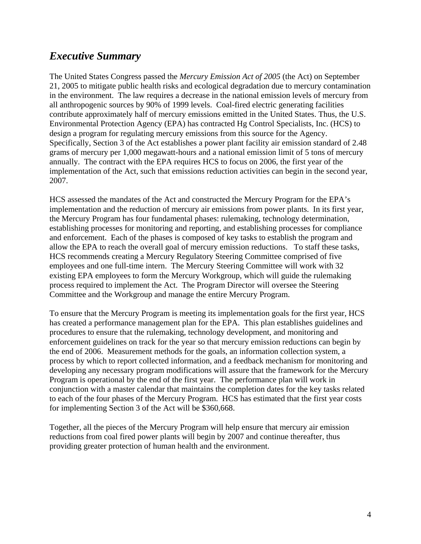# <span id="page-4-0"></span>*Executive Summary*

The United States Congress passed the *Mercury Emission Act of 2005* (the Act) on September 21, 2005 to mitigate public health risks and ecological degradation due to mercury contamination in the environment. The law requires a decrease in the national emission levels of mercury from all anthropogenic sources by 90% of 1999 levels. Coal-fired electric generating facilities contribute approximately half of mercury emissions emitted in the United States. Thus, the U.S. Environmental Protection Agency (EPA) has contracted Hg Control Specialists, Inc. (HCS) to design a program for regulating mercury emissions from this source for the Agency. Specifically, Section 3 of the Act establishes a power plant facility air emission standard of 2.48 grams of mercury per 1,000 megawatt-hours and a national emission limit of 5 tons of mercury annually. The contract with the EPA requires HCS to focus on 2006, the first year of the implementation of the Act, such that emissions reduction activities can begin in the second year, 2007.

HCS assessed the mandates of the Act and constructed the Mercury Program for the EPA's implementation and the reduction of mercury air emissions from power plants. In its first year, the Mercury Program has four fundamental phases: rulemaking, technology determination, establishing processes for monitoring and reporting, and establishing processes for compliance and enforcement. Each of the phases is composed of key tasks to establish the program and allow the EPA to reach the overall goal of mercury emission reductions. To staff these tasks, HCS recommends creating a Mercury Regulatory Steering Committee comprised of five employees and one full-time intern. The Mercury Steering Committee will work with 32 existing EPA employees to form the Mercury Workgroup, which will guide the rulemaking process required to implement the Act. The Program Director will oversee the Steering Committee and the Workgroup and manage the entire Mercury Program.

To ensure that the Mercury Program is meeting its implementation goals for the first year, HCS has created a performance management plan for the EPA. This plan establishes guidelines and procedures to ensure that the rulemaking, technology development, and monitoring and enforcement guidelines on track for the year so that mercury emission reductions can begin by the end of 2006. Measurement methods for the goals, an information collection system, a process by which to report collected information, and a feedback mechanism for monitoring and developing any necessary program modifications will assure that the framework for the Mercury Program is operational by the end of the first year. The performance plan will work in conjunction with a master calendar that maintains the completion dates for the key tasks related to each of the four phases of the Mercury Program. HCS has estimated that the first year costs for implementing Section 3 of the Act will be \$360,668.

Together, all the pieces of the Mercury Program will help ensure that mercury air emission reductions from coal fired power plants will begin by 2007 and continue thereafter, thus providing greater protection of human health and the environment.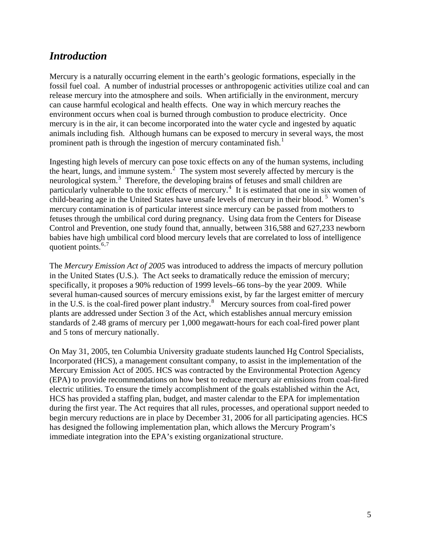# <span id="page-5-0"></span>*Introduction*

Mercury is a naturally occurring element in the earth's geologic formations, especially in the fossil fuel coal. A number of industrial processes or anthropogenic activities utilize coal and can release mercury into the atmosphere and soils. When artificially in the environment, mercury can cause harmful ecological and health effects. One way in which mercury reaches the environment occurs when coal is burned through combustion to produce electricity. Once mercury is in the air, it can become incorporated into the water cycle and ingested by aquatic animals including fish. Although humans can be exposed to mercury in several ways, the most prominent path is through the ingestion of mercury contaminated fish.<sup>[1](#page-63-0)</sup>

Ingesting high levels of mercury can pose toxic effects on any of the human systems, including the heart, lungs, and immune system. $2$  The system most severely affected by mercury is the neurological system.<sup>[3](#page-63-1)</sup> Therefore, the developing brains of fetuses and small children are particularly vulnerable to the toxic effects of mercury.<sup>[4](#page-63-1)</sup> It is estimated that one in six women of child-bearing age in the United States have unsafe levels of mercury in their blood.<sup>[5](#page-63-1)</sup> Women's mercury contamination is of particular interest since mercury can be passed from mothers to fetuses through the umbilical cord during pregnancy. Using data from the Centers for Disease Control and Prevention, one study found that, annually, between 316,588 and 627,233 newborn babies have high umbilical cord blood mercury levels that are correlated to loss of intelligence quotient points. $6,7$  $6,7$  $6,7$ 

The *Mercury Emission Act of 2005* was introduced to address the impacts of mercury pollution in the United States (U.S.). The Act seeks to dramatically reduce the emission of mercury; specifically, it proposes a 90% reduction of 1999 levels–66 tons–by the year 2009. While several human-caused sources of mercury emissions exist, by far the largest emitter of mercury in the U.S. is the coal-fired power plant industry.<sup>[8](#page-63-1)</sup> Mercury sources from coal-fired power plants are addressed under Section 3 of the Act, which establishes annual mercury emission standards of 2.48 grams of mercury per 1,000 megawatt-hours for each coal-fired power plant and 5 tons of mercury nationally.

On May 31, 2005, ten Columbia University graduate students launched Hg Control Specialists, Incorporated (HCS), a management consultant company, to assist in the implementation of the Mercury Emission Act of 2005. HCS was contracted by the Environmental Protection Agency (EPA) to provide recommendations on how best to reduce mercury air emissions from coal-fired electric utilities. To ensure the timely accomplishment of the goals established within the Act, HCS has provided a staffing plan, budget, and master calendar to the EPA for implementation during the first year. The Act requires that all rules, processes, and operational support needed to begin mercury reductions are in place by December 31, 2006 for all participating agencies. HCS has designed the following implementation plan, which allows the Mercury Program's immediate integration into the EPA's existing organizational structure.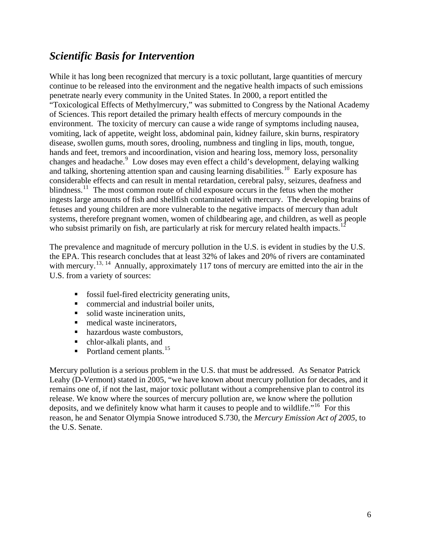# <span id="page-6-0"></span>*Scientific Basis for Intervention*

While it has long been recognized that mercury is a toxic pollutant, large quantities of mercury continue to be released into the environment and the negative health impacts of such emissions penetrate nearly every community in the United States. In 2000, a report entitled the "Toxicological Effects of Methylmercury," was submitted to Congress by the National Academy of Sciences. This report detailed the primary health effects of mercury compounds in the environment. The toxicity of mercury can cause a wide range of symptoms including nausea, vomiting, lack of appetite, weight loss, abdominal pain, kidney failure, skin burns, respiratory disease, swollen gums, mouth sores, drooling, numbness and tingling in lips, mouth, tongue, hands and feet, tremors and incoordination, vision and hearing loss, memory loss, personality changes and headache.<sup>[9](#page-63-1)</sup> Low doses may even effect a child's development, delaying walking and talking, shortening attention span and causing learning disabilities.<sup>[10](#page-63-1)</sup> Early exposure has considerable effects and can result in mental retardation, cerebral palsy, seizures, deafness and blindness.<sup>[11](#page-63-1)</sup> The most common route of child exposure occurs in the fetus when the mother ingests large amounts of fish and shellfish contaminated with mercury. The developing brains of fetuses and young children are more vulnerable to the negative impacts of mercury than adult systems, therefore pregnant women, women of childbearing age, and children, as well as people who subsist primarily on fish, are particularly at risk for mercury related health impacts.<sup>[12](#page-63-1)</sup>

The prevalence and magnitude of mercury pollution in the U.S. is evident in studies by the U.S. the EPA. This research concludes that at least 32% of lakes and 20% of rivers are contaminated with mercury.<sup>[13](#page-63-1), [14](#page-63-1)</sup> Annually, approximately 117 tons of mercury are emitted into the air in the U.S. from a variety of sources:

- **fossil fuel-fired electricity generating units,**
- **E** commercial and industrial boiler units,
- solid waste incineration units,
- medical waste incinerators,
- hazardous waste combustors,
- chlor-alkali plants, and
- Portland cement plants.<sup>[15](#page-63-1)</sup>

Mercury pollution is a serious problem in the U.S. that must be addressed. As Senator Patrick Leahy (D-Vermont) stated in 2005, "we have known about mercury pollution for decades, and it remains one of, if not the last, major toxic pollutant without a comprehensive plan to control its release. We know where the sources of mercury pollution are, we know where the pollution deposits, and we definitely know what harm it causes to people and to wildlife."<sup>[16](#page-63-1)</sup> For this reason, he and Senator Olympia Snowe introduced S.730, the *Mercury Emission Act of 2005*, to the U.S. Senate.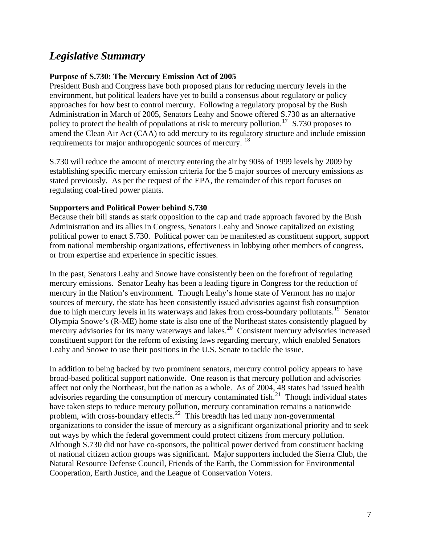# <span id="page-7-0"></span>*Legislative Summary*

#### **Purpose of S.730: The Mercury Emission Act of 2005**

President Bush and Congress have both proposed plans for reducing mercury levels in the environment, but political leaders have yet to build a consensus about regulatory or policy approaches for how best to control mercury. Following a regulatory proposal by the Bush Administration in March of 2005, Senators Leahy and Snowe offered S.730 as an alternative policy to protect the health of populations at risk to mercury pollution.<sup>[17](#page-63-1)</sup> S.730 proposes to amend the Clean Air Act (CAA) to add mercury to its regulatory structure and include emission requirements for major anthropogenic sources of mercury. <sup>[18](#page-63-1)</sup>

S.730 will reduce the amount of mercury entering the air by 90% of 1999 levels by 2009 by establishing specific mercury emission criteria for the 5 major sources of mercury emissions as stated previously. As per the request of the EPA, the remainder of this report focuses on regulating coal-fired power plants.

#### **Supporters and Political Power behind S.730**

Because their bill stands as stark opposition to the cap and trade approach favored by the Bush Administration and its allies in Congress, Senators Leahy and Snowe capitalized on existing political power to enact S.730. Political power can be manifested as constituent support, support from national membership organizations, effectiveness in lobbying other members of congress, or from expertise and experience in specific issues.

In the past, Senators Leahy and Snowe have consistently been on the forefront of regulating mercury emissions. Senator Leahy has been a leading figure in Congress for the reduction of mercury in the Nation's environment. Though Leahy's home state of Vermont has no major sources of mercury, the state has been consistently issued advisories against fish consumption due to high mercury levels in its waterways and lakes from cross-boundary pollutants.<sup>[19](#page-63-1)</sup> Senator Olympia Snowe's (R-ME) home state is also one of the Northeast states consistently plagued by mercury advisories for its many waterways and lakes.<sup>[20](#page-63-1)</sup> Consistent mercury advisories increased constituent support for the reform of existing laws regarding mercury, which enabled Senators Leahy and Snowe to use their positions in the U.S. Senate to tackle the issue.

In addition to being backed by two prominent senators, mercury control policy appears to have broad-based political support nationwide. One reason is that mercury pollution and advisories affect not only the Northeast, but the nation as a whole. As of 2004, 48 states had issued health advisories regarding the consumption of mercury contaminated fish.<sup>[21](#page-63-1)</sup> Though individual states have taken steps to reduce mercury pollution, mercury contamination remains a nationwide problem, with cross-boundary effects.<sup>[22](#page-63-1)</sup> This breadth has led many non-governmental organizations to consider the issue of mercury as a significant organizational priority and to seek out ways by which the federal government could protect citizens from mercury pollution. Although S.730 did not have co-sponsors, the political power derived from constituent backing of national citizen action groups was significant. Major supporters included the Sierra Club, the Natural Resource Defense Council, Friends of the Earth, the Commission for Environmental Cooperation, Earth Justice, and the League of Conservation Voters.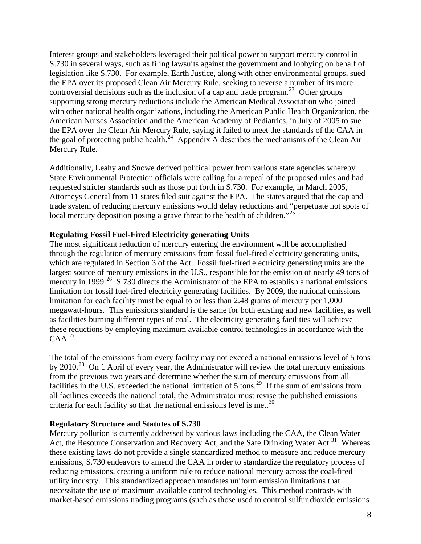<span id="page-8-0"></span>Interest groups and stakeholders leveraged their political power to support mercury control in S.730 in several ways, such as filing lawsuits against the government and lobbying on behalf of legislation like S.730. For example, Earth Justice, along with other environmental groups, sued the EPA over its proposed Clean Air Mercury Rule, seeking to reverse a number of its more controversial decisions such as the inclusion of a cap and trade program.<sup>[23](#page-63-1)</sup> Other groups supporting strong mercury reductions include the American Medical Association who joined with other national health organizations, including the American Public Health Organization, the American Nurses Association and the American Academy of Pediatrics, in July of 2005 to sue the EPA over the Clean Air Mercury Rule, saying it failed to meet the standards of the CAA in the goal of protecting public health.<sup>[24](#page-63-1)</sup> Appendix A describes the mechanisms of the Clean Air Mercury Rule.

Additionally, Leahy and Snowe derived political power from various state agencies whereby State Environmental Protection officials were calling for a repeal of the proposed rules and had requested stricter standards such as those put forth in S.730. For example, in March 2005, Attorneys General from 11 states filed suit against the EPA. The states argued that the cap and trade system of reducing mercury emissions would delay reductions and "perpetuate hot spots of local mercury deposition posing a grave threat to the health of children."<sup>[25](#page-63-1)</sup>

### **Regulating Fossil Fuel-Fired Electricity generating Units**

The most significant reduction of mercury entering the environment will be accomplished through the regulation of mercury emissions from fossil fuel-fired electricity generating units, which are regulated in Section 3 of the Act. Fossil fuel-fired electricity generating units are the largest source of mercury emissions in the U.S., responsible for the emission of nearly 49 tons of mercury in 1999.<sup>[26](#page-63-1)</sup> S.730 directs the Administrator of the EPA to establish a national emissions limitation for fossil fuel-fired electricity generating facilities. By 2009, the national emissions limitation for each facility must be equal to or less than 2.48 grams of mercury per 1,000 megawatt-hours. This emissions standard is the same for both existing and new facilities, as well as facilities burning different types of coal. The electricity generating facilities will achieve these reductions by employing maximum available control technologies in accordance with the  $CAA.<sup>27</sup>$  $CAA.<sup>27</sup>$  $CAA.<sup>27</sup>$ 

The total of the emissions from every facility may not exceed a national emissions level of 5 tons by 2010.<sup>[28](#page-63-1)</sup> On 1 April of every year, the Administrator will review the total mercury emissions from the previous two years and determine whether the sum of mercury emissions from all facilities in the U.S. exceeded the national limitation of 5 tons.<sup>[29](#page-63-1)</sup> If the sum of emissions from all facilities exceeds the national total, the Administrator must revise the published emissions criteria for each facility so that the national emissions level is met.<sup>[30](#page-63-1)</sup>

#### **Regulatory Structure and Statutes of S.730**

Mercury pollution is currently addressed by various laws including the CAA, the Clean Water Act, the Resource Conservation and Recovery Act, and the Safe Drinking Water Act.<sup>[31](#page-63-1)</sup> Whereas these existing laws do not provide a single standardized method to measure and reduce mercury emissions, S.730 endeavors to amend the CAA in order to standardize the regulatory process of reducing emissions, creating a uniform rule to reduce national mercury across the coal-fired utility industry. This standardized approach mandates uniform emission limitations that necessitate the use of maximum available control technologies. This method contrasts with market-based emissions trading programs (such as those used to control sulfur dioxide emissions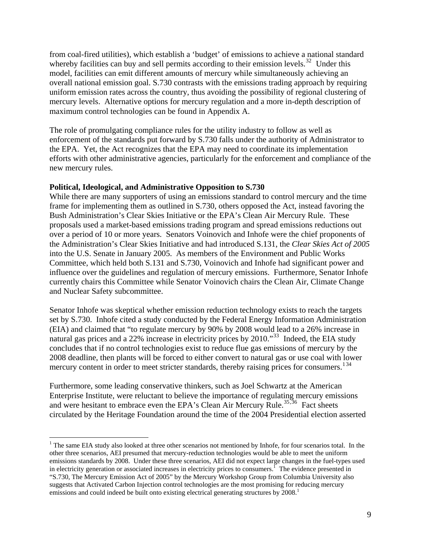<span id="page-9-0"></span>from coal-fired utilities), which establish a 'budget' of emissions to achieve a national standard whereby facilities can buy and sell permits according to their emission levels.<sup>[32](#page-63-1)</sup> Under this model, facilities can emit different amounts of mercury while simultaneously achieving an overall national emission goal. S.730 contrasts with the emissions trading approach by requiring uniform emission rates across the country, thus avoiding the possibility of regional clustering of mercury levels. Alternative options for mercury regulation and a more in-depth description of maximum control technologies can be found in Appendix A.

The role of promulgating compliance rules for the utility industry to follow as well as enforcement of the standards put forward by S.730 falls under the authority of Administrator to the EPA. Yet, the Act recognizes that the EPA may need to coordinate its implementation efforts with other administrative agencies, particularly for the enforcement and compliance of the new mercury rules.

#### **Political, Ideological, and Administrative Opposition to S.730**

While there are many supporters of using an emissions standard to control mercury and the time frame for implementing them as outlined in S.730, others opposed the Act, instead favoring the Bush Administration's Clear Skies Initiative or the EPA's Clean Air Mercury Rule. These proposals used a market-based emissions trading program and spread emissions reductions out over a period of 10 or more years. Senators Voinovich and Inhofe were the chief proponents of the Administration's Clear Skies Initiative and had introduced S.131, the *Clear Skies Act of 2005* into the U.S. Senate in January 2005. As members of the Environment and Public Works Committee, which held both S.131 and S.730, Voinovich and Inhofe had significant power and influence over the guidelines and regulation of mercury emissions. Furthermore, Senator Inhofe currently chairs this Committee while Senator Voinovich chairs the Clean Air, Climate Change and Nuclear Safety subcommittee.

Senator Inhofe was skeptical whether emission reduction technology exists to reach the targets set by S.730. Inhofe cited a study conducted by the Federal Energy Information Administration (EIA) and claimed that "to regulate mercury by 90% by 2008 would lead to a 26% increase in natural gas prices and a 22% increase in electricity prices by 2010."<sup>[33](#page-63-1)</sup> Indeed, the EIA study concludes that if no control technologies exist to reduce flue gas emissions of mercury by the 2008 deadline, then plants will be forced to either convert to natural gas or use coal with lower mercury content in order to meet stricter standards, thereby raising prices for consumers.<sup>[1](#page-9-0)[34](#page-63-1)</sup>

Furthermore, some leading conservative thinkers, such as Joel Schwartz at the American Enterprise Institute, were reluctant to believe the importance of regulating mercury emissions and were hesitant to embrace even the EPA's Clean Air Mercury Rule.<sup>[35](#page-63-1),[36](#page-63-1)</sup> Fact sheets circulated by the Heritage Foundation around the time of the 2004 Presidential election asserted

 $\overline{a}$  $1$ <sup>1</sup> The same EIA study also looked at three other scenarios not mentioned by Inhofe, for four scenarios total. In the other three scenarios, AEI presumed that mercury-reduction technologies would be able to meet the uniform emissions standards by 2008. Under these three scenarios, AEI did not expect large changes in the fuel-types used in electricity generation or associated increases in electricity prices to consumers.<sup>1</sup> The evidence presented in "S.730, The Mercury Emission Act of 2005" by the Mercury Workshop Group from Columbia University also suggests that Activated Carbon Injection control technologies are the most promising for reducing mercury emissions and could indeed be built onto existing electrical generating structures by 2008.<sup>1</sup>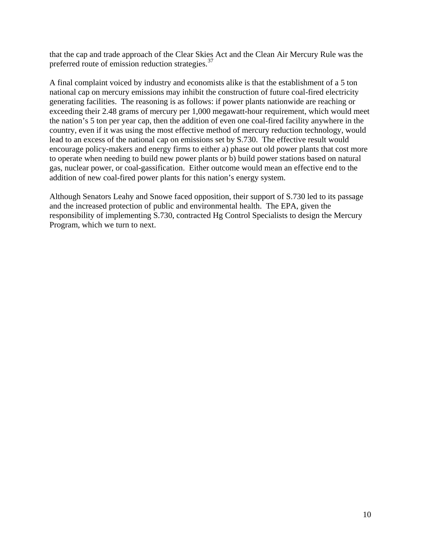that the cap and trade approach of the Clear Skies Act and the Clean Air Mercury Rule was the preferred route of emission reduction strategies.<sup>[37](#page-63-1)</sup>

A final complaint voiced by industry and economists alike is that the establishment of a 5 ton national cap on mercury emissions may inhibit the construction of future coal-fired electricity generating facilities. The reasoning is as follows: if power plants nationwide are reaching or exceeding their 2.48 grams of mercury per 1,000 megawatt-hour requirement, which would meet the nation's 5 ton per year cap, then the addition of even one coal-fired facility anywhere in the country, even if it was using the most effective method of mercury reduction technology, would lead to an excess of the national cap on emissions set by S.730. The effective result would encourage policy-makers and energy firms to either a) phase out old power plants that cost more to operate when needing to build new power plants or b) build power stations based on natural gas, nuclear power, or coal-gassification. Either outcome would mean an effective end to the addition of new coal-fired power plants for this nation's energy system.

Although Senators Leahy and Snowe faced opposition, their support of S.730 led to its passage and the increased protection of public and environmental health. The EPA, given the responsibility of implementing S.730, contracted Hg Control Specialists to design the Mercury Program, which we turn to next.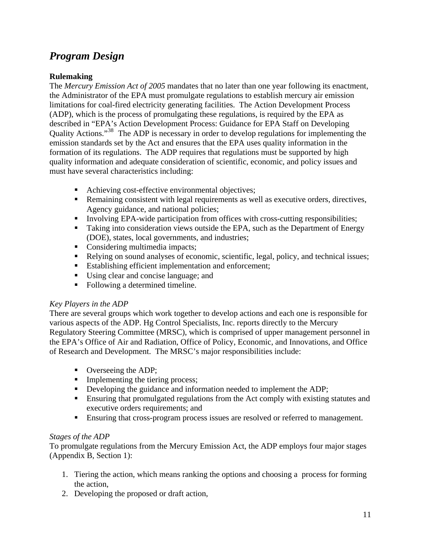# <span id="page-11-0"></span>*Program Design*

# **Rulemaking**

The *Mercury Emission Act of 2005* mandates that no later than one year following its enactment, the Administrator of the EPA must promulgate regulations to establish mercury air emission limitations for coal-fired electricity generating facilities. The Action Development Process (ADP), which is the process of promulgating these regulations, is required by the EPA as described in "EPA's Action Development Process: Guidance for EPA Staff on Developing Quality Actions."<sup>[38](#page-63-1)</sup> The ADP is necessary in order to develop regulations for implementing the emission standards set by the Act and ensures that the EPA uses quality information in the formation of its regulations. The ADP requires that regulations must be supported by high quality information and adequate consideration of scientific, economic, and policy issues and must have several characteristics including:

- Achieving cost-effective environmental objectives;
- **Remaining consistent with legal requirements as well as executive orders, directives,** Agency guidance, and national policies;
- Involving EPA-wide participation from offices with cross-cutting responsibilities;
- Taking into consideration views outside the EPA, such as the Department of Energy (DOE), states, local governments, and industries;
- Considering multimedia impacts;
- Relying on sound analyses of economic, scientific, legal, policy, and technical issues;
- Establishing efficient implementation and enforcement;
- Using clear and concise language; and
- Following a determined timeline.

# *Key Players in the ADP*

There are several groups which work together to develop actions and each one is responsible for various aspects of the ADP. Hg Control Specialists, Inc. reports directly to the Mercury Regulatory Steering Committee (MRSC), which is comprised of upper management personnel in the EPA's Office of Air and Radiation, Office of Policy, Economic, and Innovations, and Office of Research and Development. The MRSC's major responsibilities include:

- Overseeing the ADP;
- Implementing the tiering process;
- Developing the guidance and information needed to implement the ADP;
- **Ensuring that promulgated regulations from the Act comply with existing statutes and** executive orders requirements; and
- **Ensuring that cross-program process issues are resolved or referred to management.**

# *Stages of the ADP*

To promulgate regulations from the Mercury Emission Act, the ADP employs four major stages (Appendix B, Section 1):

- 1. Tiering the action, which means ranking the options and choosing a process for forming the action,
- 2. Developing the proposed or draft action,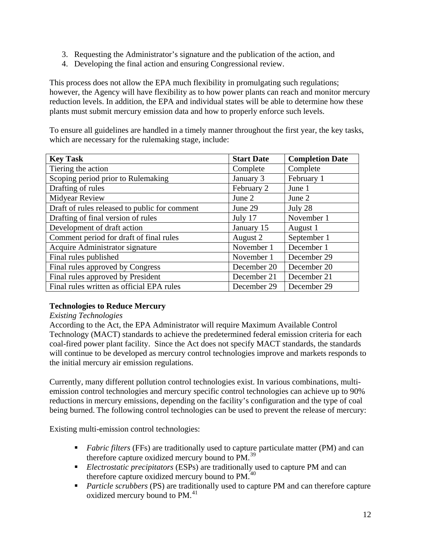- <span id="page-12-0"></span>3. Requesting the Administrator's signature and the publication of the action, and
- 4. Developing the final action and ensuring Congressional review.

This process does not allow the EPA much flexibility in promulgating such regulations; however, the Agency will have flexibility as to how power plants can reach and monitor mercury reduction levels. In addition, the EPA and individual states will be able to determine how these plants must submit mercury emission data and how to properly enforce such levels.

To ensure all guidelines are handled in a timely manner throughout the first year, the key tasks, which are necessary for the rulemaking stage, include:

| <b>Key Task</b>                               | <b>Start Date</b> | <b>Completion Date</b> |
|-----------------------------------------------|-------------------|------------------------|
| Tiering the action                            | Complete          | Complete               |
| Scoping period prior to Rulemaking            | January 3         | February 1             |
| Drafting of rules                             | February 2        | June 1                 |
| Midyear Review                                | June 2            | June 2                 |
| Draft of rules released to public for comment | June 29           | July 28                |
| Drafting of final version of rules            | July 17           | November 1             |
| Development of draft action                   | January 15        | August 1               |
| Comment period for draft of final rules       | August 2          | September 1            |
| Acquire Administrator signature               | November 1        | December 1             |
| Final rules published                         | November 1        | December 29            |
| Final rules approved by Congress              | December 20       | December 20            |
| Final rules approved by President             | December 21       | December 21            |
| Final rules written as official EPA rules     | December 29       | December 29            |

# **Technologies to Reduce Mercury**

### *Existing Technologies*

According to the Act, the EPA Administrator will require Maximum Available Control Technology (MACT) standards to achieve the predetermined federal emission criteria for each coal-fired power plant facility. Since the Act does not specify MACT standards, the standards will continue to be developed as mercury control technologies improve and markets responds to the initial mercury air emission regulations.

Currently, many different pollution control technologies exist. In various combinations, multiemission control technologies and mercury specific control technologies can achieve up to 90% reductions in mercury emissions, depending on the facility's configuration and the type of coal being burned. The following control technologies can be used to prevent the release of mercury:

Existing multi-emission control technologies:

- **Fabric filters** (FFs) are traditionally used to capture particulate matter (PM) and can therefore capture oxidized mercury bound to PM.<sup>[39](#page-63-1)</sup>
- *Electrostatic precipitators* (ESPs) are traditionally used to capture PM and can therefore capture oxidized mercury bound to PM.<sup>[40](#page-63-1)</sup>
- **Particle scrubbers (PS) are traditionally used to capture PM and can therefore capture** oxidized mercury bound to PM.<sup>[41](#page-63-1)</sup>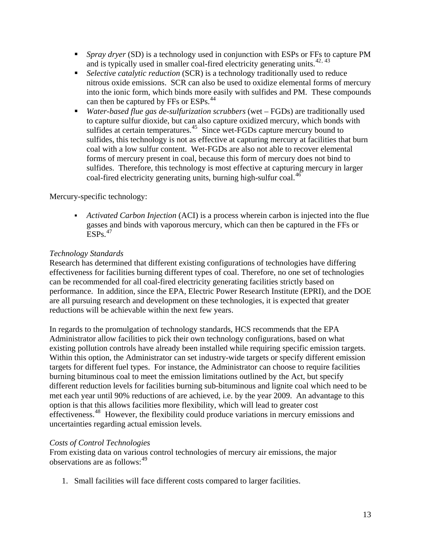- **Spray dryer (SD)** is a technology used in conjunction with ESPs or FFs to capture PM and is typically used in smaller coal-fired electricity generating units.<sup> $42, 43$  $42, 43$  $42, 43$ </sup>
- *Selective catalytic reduction* (SCR) is a technology traditionally used to reduce nitrous oxide emissions. SCR can also be used to oxidize elemental forms of mercury into the ionic form, which binds more easily with sulfides and PM. These compounds can then be captured by FFs or ESPs.<sup>[44](#page-63-1)</sup>
- *Water-based flue gas de-sulfurization scrubbers* (wet FGDs) are traditionally used to capture sulfur dioxide, but can also capture oxidized mercury, which bonds with sulfides at certain temperatures.<sup>[45](#page-63-1)</sup> Since wet-FGDs capture mercury bound to sulfides, this technology is not as effective at capturing mercury at facilities that burn coal with a low sulfur content. Wet-FGDs are also not able to recover elemental forms of mercury present in coal, because this form of mercury does not bind to sulfides. Therefore, this technology is most effective at capturing mercury in larger coal-fired electricity generating units, burning high-sulfur coal.<sup>[46](#page-63-1)</sup>

Mercury-specific technology:

 *Activated Carbon Injection* (ACI) is a process wherein carbon is injected into the flue gasses and binds with vaporous mercury, which can then be captured in the FFs or  $ESPs<sup>47</sup>$  $ESPs<sup>47</sup>$  $ESPs<sup>47</sup>$ 

### *Technology Standards*

Research has determined that different existing configurations of technologies have differing effectiveness for facilities burning different types of coal. Therefore, no one set of technologies can be recommended for all coal-fired electricity generating facilities strictly based on performance. In addition, since the EPA, Electric Power Research Institute (EPRI), and the DOE are all pursuing research and development on these technologies, it is expected that greater reductions will be achievable within the next few years.

In regards to the promulgation of technology standards, HCS recommends that the EPA Administrator allow facilities to pick their own technology configurations, based on what existing pollution controls have already been installed while requiring specific emission targets. Within this option, the Administrator can set industry-wide targets or specify different emission targets for different fuel types. For instance, the Administrator can choose to require facilities burning bituminous coal to meet the emission limitations outlined by the Act, but specify different reduction levels for facilities burning sub-bituminous and lignite coal which need to be met each year until 90% reductions of are achieved, i.e. by the year 2009. An advantage to this option is that this allows facilities more flexibility, which will lead to greater cost effectiveness.<sup>[48](#page-63-1)</sup> However, the flexibility could produce variations in mercury emissions and uncertainties regarding actual emission levels.

#### *Costs of Control Technologies*

From existing data on various control technologies of mercury air emissions, the major observations are as follows:<sup>[49](#page-63-1)</sup>

1. Small facilities will face different costs compared to larger facilities.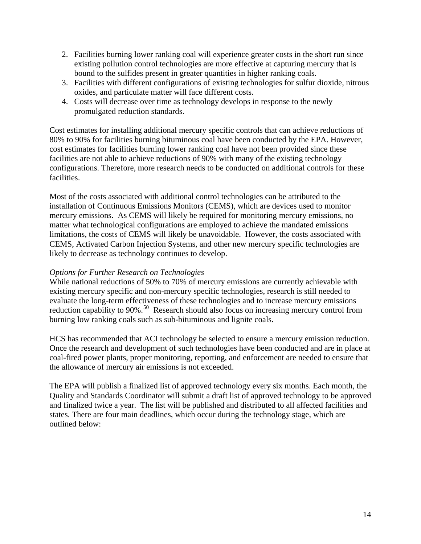- 2. Facilities burning lower ranking coal will experience greater costs in the short run since existing pollution control technologies are more effective at capturing mercury that is bound to the sulfides present in greater quantities in higher ranking coals.
- 3. Facilities with different configurations of existing technologies for sulfur dioxide, nitrous oxides, and particulate matter will face different costs.
- 4. Costs will decrease over time as technology develops in response to the newly promulgated reduction standards.

Cost estimates for installing additional mercury specific controls that can achieve reductions of 80% to 90% for facilities burning bituminous coal have been conducted by the EPA. However, cost estimates for facilities burning lower ranking coal have not been provided since these facilities are not able to achieve reductions of 90% with many of the existing technology configurations. Therefore, more research needs to be conducted on additional controls for these facilities.

Most of the costs associated with additional control technologies can be attributed to the installation of Continuous Emissions Monitors (CEMS), which are devices used to monitor mercury emissions. As CEMS will likely be required for monitoring mercury emissions, no matter what technological configurations are employed to achieve the mandated emissions limitations, the costs of CEMS will likely be unavoidable. However, the costs associated with CEMS, Activated Carbon Injection Systems, and other new mercury specific technologies are likely to decrease as technology continues to develop.

#### *Options for Further Research on Technologies*

While national reductions of 50% to 70% of mercury emissions are currently achievable with existing mercury specific and non-mercury specific technologies, research is still needed to evaluate the long-term effectiveness of these technologies and to increase mercury emissions reduction capability to 90%.<sup>[50](#page-63-1)</sup> Research should also focus on increasing mercury control from burning low ranking coals such as sub-bituminous and lignite coals.

HCS has recommended that ACI technology be selected to ensure a mercury emission reduction. Once the research and development of such technologies have been conducted and are in place at coal-fired power plants, proper monitoring, reporting, and enforcement are needed to ensure that the allowance of mercury air emissions is not exceeded.

The EPA will publish a finalized list of approved technology every six months. Each month, the Quality and Standards Coordinator will submit a draft list of approved technology to be approved and finalized twice a year. The list will be published and distributed to all affected facilities and states. There are four main deadlines, which occur during the technology stage, which are outlined below: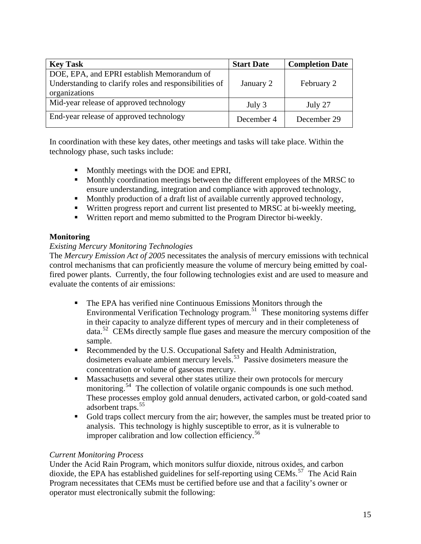<span id="page-15-0"></span>

| <b>Key Task</b>                                        | <b>Start Date</b> | <b>Completion Date</b> |
|--------------------------------------------------------|-------------------|------------------------|
| DOE, EPA, and EPRI establish Memorandum of             |                   |                        |
| Understanding to clarify roles and responsibilities of | January 2         | February 2             |
| organizations                                          |                   |                        |
| Mid-year release of approved technology                | July 3            | July 27                |
| End-year release of approved technology                | December 4        | December 29            |

In coordination with these key dates, other meetings and tasks will take place. Within the technology phase, such tasks include:

- **Monthly meetings with the DOE and EPRI,**
- **Monthly coordination meetings between the different employees of the MRSC to** ensure understanding, integration and compliance with approved technology,
- Monthly production of a draft list of available currently approved technology,
- Written progress report and current list presented to MRSC at bi-weekly meeting,
- Written report and memo submitted to the Program Director bi-weekly.

### **Monitoring**

### *Existing Mercury Monitoring Technologies*

The *Mercury Emission Act of 2005* necessitates the analysis of mercury emissions with technical control mechanisms that can proficiently measure the volume of mercury being emitted by coalfired power plants. Currently, the four following technologies exist and are used to measure and evaluate the contents of air emissions:

- The EPA has verified nine Continuous Emissions Monitors through the Environmental Verification Technology program.[51](#page-63-1) These monitoring systems differ in their capacity to analyze different types of mercury and in their completeness of data.<sup>[52](#page-63-1)</sup> CEMs directly sample flue gases and measure the mercury composition of the sample.
- Recommended by the U.S. Occupational Safety and Health Administration, dosimeters evaluate ambient mercury levels.<sup>[53](#page-63-1)</sup> Passive dosimeters measure the concentration or volume of gaseous mercury.
- **Massachusetts and several other states utilize their own protocols for mercury** monitoring.<sup>[54](#page-63-1)</sup> The collection of volatile organic compounds is one such method. These processes employ gold annual denuders, activated carbon, or gold-coated sand adsorbent traps.<sup>[55](#page-63-1)</sup>
- Gold traps collect mercury from the air; however, the samples must be treated prior to analysis. This technology is highly susceptible to error, as it is vulnerable to improper calibration and low collection efficiency.<sup>[56](#page-63-1)</sup>

#### *Current Monitoring Process*

Under the Acid Rain Program, which monitors sulfur dioxide, nitrous oxides, and carbon dioxide, the EPA has established guidelines for self-reporting using CEMs.<sup>[57](#page-63-1)</sup> The Acid Rain Program necessitates that CEMs must be certified before use and that a facility's owner or operator must electronically submit the following: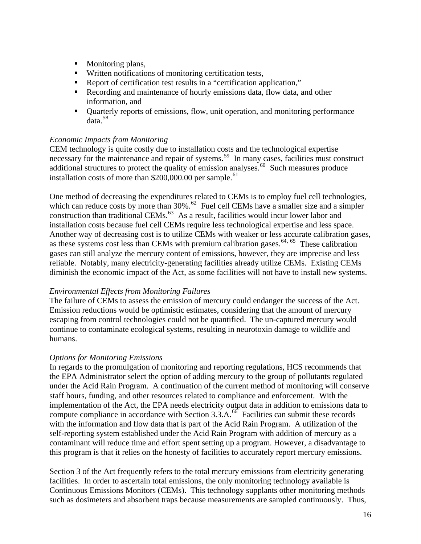- Monitoring plans,
- Written notifications of monitoring certification tests,
- Report of certification test results in a "certification application,"
- Recording and maintenance of hourly emissions data, flow data, and other information, and
- Quarterly reports of emissions, flow, unit operation, and monitoring performance data.[58](#page-63-1)

### *Economic Impacts from Monitoring*

CEM technology is quite costly due to installation costs and the technological expertise necessary for the maintenance and repair of systems.<sup>[59](#page-63-1)</sup> In many cases, facilities must construct additional structures to protect the quality of emission analyses.<sup>[60](#page-63-1)</sup> Such measures produce installation costs of more than  $$200,000.00$  per sample.<sup>[61](#page-63-1)</sup>

One method of decreasing the expenditures related to CEMs is to employ fuel cell technologies, which can reduce costs by more than 30%.<sup>[62](#page-63-1)</sup> Fuel cell CEMs have a smaller size and a simpler construction than traditional CEMs.<sup>[63](#page-63-1)</sup> As a result, facilities would incur lower labor and installation costs because fuel cell CEMs require less technological expertise and less space. Another way of decreasing cost is to utilize CEMs with weaker or less accurate calibration gases, as these systems cost less than CEMs with premium calibration gases.<sup>[64](#page-63-1), [65](#page-63-1)</sup> These calibration gases can still analyze the mercury content of emissions, however, they are imprecise and less reliable. Notably, many electricity-generating facilities already utilize CEMs. Existing CEMs diminish the economic impact of the Act, as some facilities will not have to install new systems.

### *Environmental Effects from Monitoring Failures*

The failure of CEMs to assess the emission of mercury could endanger the success of the Act. Emission reductions would be optimistic estimates, considering that the amount of mercury escaping from control technologies could not be quantified. The un-captured mercury would continue to contaminate ecological systems, resulting in neurotoxin damage to wildlife and humans.

### *Options for Monitoring Emissions*

In regards to the promulgation of monitoring and reporting regulations, HCS recommends that the EPA Administrator select the option of adding mercury to the group of pollutants regulated under the Acid Rain Program. A continuation of the current method of monitoring will conserve staff hours, funding, and other resources related to compliance and enforcement. With the implementation of the Act, the EPA needs electricity output data in addition to emissions data to compute compliance in accordance with Section  $3.3.A.^{66}$  $3.3.A.^{66}$  $3.3.A.^{66}$  Facilities can submit these records with the information and flow data that is part of the Acid Rain Program. A utilization of the self-reporting system established under the Acid Rain Program with addition of mercury as a contaminant will reduce time and effort spent setting up a program. However, a disadvantage to this program is that it relies on the honesty of facilities to accurately report mercury emissions.

Section 3 of the Act frequently refers to the total mercury emissions from electricity generating facilities. In order to ascertain total emissions, the only monitoring technology available is Continuous Emissions Monitors (CEMs). This technology supplants other monitoring methods such as dosimeters and absorbent traps because measurements are sampled continuously. Thus,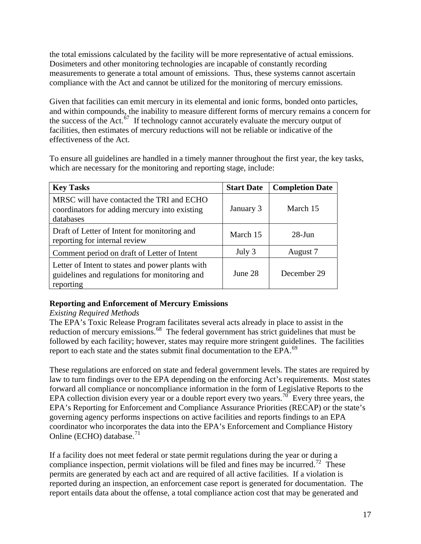<span id="page-17-0"></span>the total emissions calculated by the facility will be more representative of actual emissions. Dosimeters and other monitoring technologies are incapable of constantly recording measurements to generate a total amount of emissions. Thus, these systems cannot ascertain compliance with the Act and cannot be utilized for the monitoring of mercury emissions.

Given that facilities can emit mercury in its elemental and ionic forms, bonded onto particles, and within compounds, the inability to measure different forms of mercury remains a concern for the success of the Act. $\overline{67}$  $\overline{67}$  $\overline{67}$  If technology cannot accurately evaluate the mercury output of facilities, then estimates of mercury reductions will not be reliable or indicative of the effectiveness of the Act.

To ensure all guidelines are handled in a timely manner throughout the first year, the key tasks, which are necessary for the monitoring and reporting stage, include:

| <b>Key Tasks</b>                                                                                               | <b>Start Date</b> | <b>Completion Date</b> |
|----------------------------------------------------------------------------------------------------------------|-------------------|------------------------|
| MRSC will have contacted the TRI and ECHO<br>coordinators for adding mercury into existing<br>databases        | January 3         | March 15               |
| Draft of Letter of Intent for monitoring and<br>reporting for internal review                                  | March 15          | $28$ -Jun              |
| Comment period on draft of Letter of Intent                                                                    | July 3            | August 7               |
| Letter of Intent to states and power plants with<br>guidelines and regulations for monitoring and<br>reporting | June 28           | December 29            |

### **Reporting and Enforcement of Mercury Emissions**

### *Existing Required Methods*

The EPA's Toxic Release Program facilitates several acts already in place to assist in the reduction of mercury emissions.<sup>[68](#page-63-1)</sup> The federal government has strict guidelines that must be followed by each facility; however, states may require more stringent guidelines. The facilities report to each state and the states submit final documentation to the EPA.<sup>[69](#page-63-1)</sup>

These regulations are enforced on state and federal government levels. The states are required by law to turn findings over to the EPA depending on the enforcing Act's requirements. Most states forward all compliance or noncompliance information in the form of Legislative Reports to the EPA collection division every year or a double report every two years.<sup>[70](#page-63-1)</sup> Every three years, the EPA's Reporting for Enforcement and Compliance Assurance Priorities ([RECAP](http://www.epa.gov/echo/resultsguide.html#Inspections)) or the state's governing agency performs inspections on active facilities and reports findings to an EPA coordinator who incorporates the data into the EPA's Enforcement and Compliance History Online ([ECHO](http://www.epa.gov/echo/)) database. $71$ 

If a facility does not meet federal or state permit regulations during the year or during a compliance inspection, permit violations will be filed and fines may be incurred.<sup>[72](#page-63-1)</sup> These permits are generated by each act and are required of all active facilities. If a violation is reported during an inspection, an enforcement case report is generated for documentation. The report entails data about the offense, a total compliance action cost that may be generated and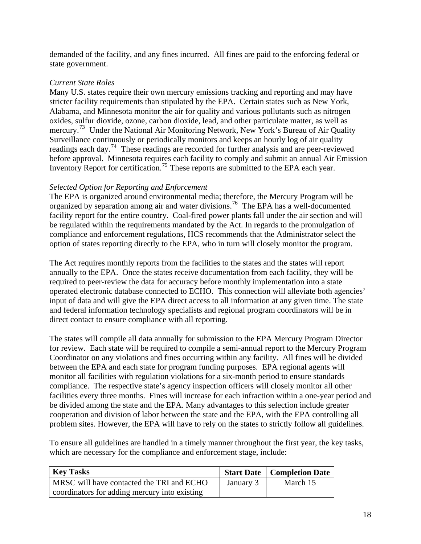demanded of the facility, and any fines incurred. All fines are paid to the enforcing federal or state government.

#### *Current State Roles*

Many U.S. states require their own mercury emissions tracking and reporting and may have stricter facility requirements than stipulated by the EPA. Certain states such as New York, Alabama, and Minnesota monitor the air for quality and various pollutants such as nitrogen oxides, sulfur dioxide, ozone, carbon dioxide, lead, and other particulate matter, as well as mercury.<sup>[73](#page-63-1)</sup> Under the National Air Monitoring Network, New York's Bureau of Air Quality Surveillance continuously or periodically monitors and keeps an hourly log of air quality readings each day.[74](#page-63-1) These readings are recorded for further analysis and are peer-reviewed before approval. Minnesota requires each facility to comply and submit an annual Air Emission Inventory Report for certification.<sup>[75](#page-63-1)</sup> These reports are submitted to the EPA each year.

#### *Selected Option for Reporting and Enforcement*

The EPA is organized around environmental media; therefore, the Mercury Program will be organized by separation among air and water divisions.<sup>[76](#page-63-1)</sup> The EPA has a well-documented facility report for the entire country. Coal-fired power plants fall under the air section and will be regulated within the requirements mandated by the Act. In regards to the promulgation of compliance and enforcement regulations, HCS recommends that the Administrator select the option of states reporting directly to the EPA, who in turn will closely monitor the program.

The Act requires monthly reports from the facilities to the states and the states will report annually to the EPA. Once the states receive documentation from each facility, they will be required to peer-review the data for accuracy before monthly implementation into a state operated electronic database connected to ECHO. This connection will alleviate both agencies' input of data and will give the EPA direct access to all information at any given time. The state and federal information technology specialists and regional program coordinators will be in direct contact to ensure compliance with all reporting.

The states will compile all data annually for submission to the EPA Mercury Program Director for review. Each state will be required to compile a semi-annual report to the Mercury Program Coordinator on any violations and fines occurring within any facility. All fines will be divided between the EPA and each state for program funding purposes. EPA regional agents will monitor all facilities with regulation violations for a six-month period to ensure standards compliance. The respective state's agency inspection officers will closely monitor all other facilities every three months. Fines will increase for each infraction within a one-year period and be divided among the state and the EPA. Many advantages to this selection include greater cooperation and division of labor between the state and the EPA, with the EPA controlling all problem sites. However, the EPA will have to rely on the states to strictly follow all guidelines.

To ensure all guidelines are handled in a timely manner throughout the first year, the key tasks, which are necessary for the compliance and enforcement stage, include:

| <b>Key Tasks</b>                              |           | <b>Start Date   Completion Date</b> |
|-----------------------------------------------|-----------|-------------------------------------|
| MRSC will have contacted the TRI and ECHO     | January 3 | March 15                            |
| coordinators for adding mercury into existing |           |                                     |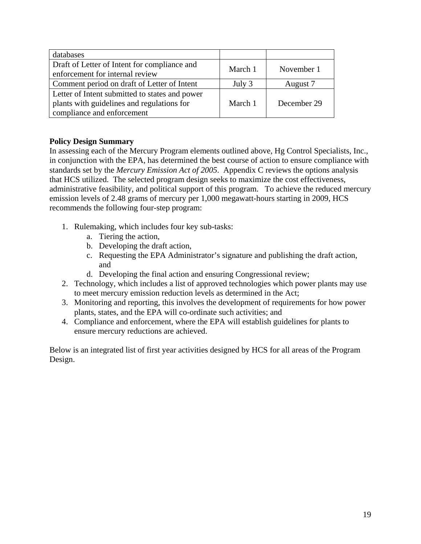<span id="page-19-0"></span>

| databases                                                                                                                  |         |             |
|----------------------------------------------------------------------------------------------------------------------------|---------|-------------|
| Draft of Letter of Intent for compliance and<br>enforcement for internal review                                            | March 1 | November 1  |
| Comment period on draft of Letter of Intent                                                                                | July 3  | August 7    |
| Letter of Intent submitted to states and power<br>plants with guidelines and regulations for<br>compliance and enforcement | March 1 | December 29 |

# **Policy Design Summary**

In assessing each of the Mercury Program elements outlined above, Hg Control Specialists, Inc., in conjunction with the EPA, has determined the best course of action to ensure compliance with standards set by the *Mercury Emission Act of 2005*. Appendix C reviews the options analysis that HCS utilized. The selected program design seeks to maximize the cost effectiveness, administrative feasibility, and political support of this program. To achieve the reduced mercury emission levels of 2.48 grams of mercury per 1,000 megawatt-hours starting in 2009, HCS recommends the following four-step program:

- 1. Rulemaking, which includes four key sub-tasks:
	- a. Tiering the action,
	- b. Developing the draft action,
	- c. Requesting the EPA Administrator's signature and publishing the draft action, and
	- d. Developing the final action and ensuring Congressional review;
- 2. Technology, which includes a list of approved technologies which power plants may use to meet mercury emission reduction levels as determined in the Act;
- 3. Monitoring and reporting, this involves the development of requirements for how power plants, states, and the EPA will co-ordinate such activities; and
- 4. Compliance and enforcement, where the EPA will establish guidelines for plants to ensure mercury reductions are achieved.

Below is an integrated list of first year activities designed by HCS for all areas of the Program Design.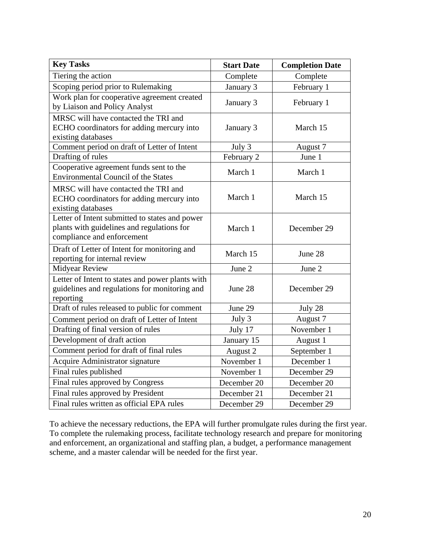| <b>Key Tasks</b>                                                                                                           | <b>Start Date</b> | <b>Completion Date</b> |
|----------------------------------------------------------------------------------------------------------------------------|-------------------|------------------------|
| Tiering the action                                                                                                         | Complete          | Complete               |
| Scoping period prior to Rulemaking                                                                                         | January 3         | February 1             |
| Work plan for cooperative agreement created<br>by Liaison and Policy Analyst                                               | January 3         | February 1             |
| MRSC will have contacted the TRI and<br>ECHO coordinators for adding mercury into<br>existing databases                    | January 3         | March 15               |
| Comment period on draft of Letter of Intent                                                                                | July 3            | August 7               |
| Drafting of rules                                                                                                          | February 2        | June 1                 |
| Cooperative agreement funds sent to the<br><b>Environmental Council of the States</b>                                      | March 1           | March 1                |
| MRSC will have contacted the TRI and<br>ECHO coordinators for adding mercury into<br>existing databases                    | March 1           | March 15               |
| Letter of Intent submitted to states and power<br>plants with guidelines and regulations for<br>compliance and enforcement | March 1           | December 29            |
| Draft of Letter of Intent for monitoring and<br>reporting for internal review                                              | March 15          | June 28                |
| <b>Midyear Review</b>                                                                                                      | June 2            | June 2                 |
| Letter of Intent to states and power plants with<br>guidelines and regulations for monitoring and<br>reporting             | June 28           | December 29            |
| Draft of rules released to public for comment                                                                              | June 29           | July 28                |
| Comment period on draft of Letter of Intent                                                                                | July 3            | August 7               |
| Drafting of final version of rules                                                                                         | July 17           | November 1             |
| Development of draft action                                                                                                | January 15        | August 1               |
| Comment period for draft of final rules                                                                                    | August 2          | September 1            |
| Acquire Administrator signature                                                                                            | November 1        | December 1             |
| Final rules published                                                                                                      | November 1        | December 29            |
| Final rules approved by Congress                                                                                           | December 20       | December 20            |
| Final rules approved by President                                                                                          | December 21       | December 21            |
| Final rules written as official EPA rules                                                                                  | December 29       | December 29            |

To achieve the necessary reductions, the EPA will further promulgate rules during the first year. To complete the rulemaking process, facilitate technology research and prepare for monitoring and enforcement, an organizational and staffing plan, a budget, a performance management scheme, and a master calendar will be needed for the first year.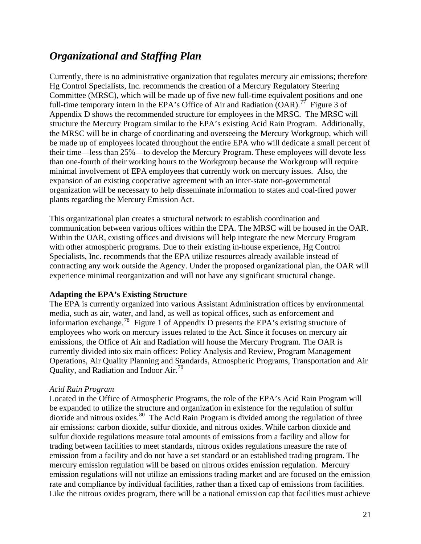# <span id="page-21-0"></span>*Organizational and Staffing Plan*

Currently, there is no administrative organization that regulates mercury air emissions; therefore Hg Control Specialists, Inc. recommends the creation of a Mercury Regulatory Steering Committee (MRSC), which will be made up of five new full-time equivalent positions and one full-time temporary intern in the EPA's Office of Air and Radiation  $(OAR)$ <sup>[77](#page-63-1)</sup> Figure 3 of Appendix D shows the recommended structure for employees in the MRSC. The MRSC will structure the Mercury Program similar to the EPA's existing Acid Rain Program. Additionally, the MRSC will be in charge of coordinating and overseeing the Mercury Workgroup, which will be made up of employees located throughout the entire EPA who will dedicate a small percent of their time—less than 25%—to develop the Mercury Program. These employees will devote less than one-fourth of their working hours to the Workgroup because the Workgroup will require minimal involvement of EPA employees that currently work on mercury issues. Also, the expansion of an existing cooperative agreement with an inter-state non-governmental organization will be necessary to help disseminate information to states and coal-fired power plants regarding the Mercury Emission Act.

This organizational plan creates a structural network to establish coordination and communication between various offices within the EPA. The MRSC will be housed in the OAR. Within the OAR, existing offices and divisions will help integrate the new Mercury Program with other atmospheric programs. Due to their existing in-house experience, Hg Control Specialists, Inc. recommends that the EPA utilize resources already available instead of contracting any work outside the Agency. Under the proposed organizational plan, the OAR will experience minimal reorganization and will not have any significant structural change.

#### **Adapting the EPA's Existing Structure**

The EPA is currently organized into various Assistant Administration offices by environmental media, such as air, water, and land, as well as topical offices, such as enforcement and information exchange.<sup>[78](#page-63-1)</sup> Figure 1 of Appendix  $\overline{D}$  presents the EPA's existing structure of employees who work on mercury issues related to the Act. Since it focuses on mercury air emissions, the Office of Air and Radiation will house the Mercury Program. The OAR is currently divided into six main offices: Policy Analysis and Review, Program Management Operations, Air Quality Planning and Standards, Atmospheric Programs, Transportation and Air Quality, and Radiation and Indoor Air.<sup>[79](#page-63-1)</sup>

#### *Acid Rain Program*

Located in the Office of Atmospheric Programs, the role of the EPA's Acid Rain Program will be expanded to utilize the structure and organization in existence for the regulation of sulfur dioxide and nitrous oxides.<sup>[80](#page-63-1)</sup> The Acid Rain Program is divided among the regulation of three air emissions: carbon dioxide, sulfur dioxide, and nitrous oxides. While carbon dioxide and sulfur dioxide regulations measure total amounts of emissions from a facility and allow for trading between facilities to meet standards, nitrous oxides regulations measure the rate of emission from a facility and do not have a set standard or an established trading program. The mercury emission regulation will be based on nitrous oxides emission regulation. Mercury emission regulations will not utilize an emissions trading market and are focused on the emission rate and compliance by individual facilities, rather than a fixed cap of emissions from facilities. Like the nitrous oxides program, there will be a national emission cap that facilities must achieve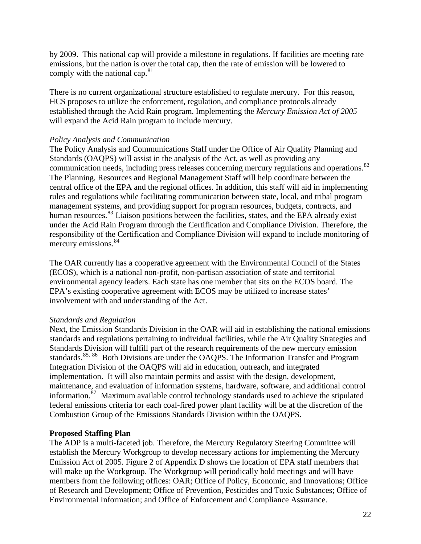<span id="page-22-0"></span>by 2009. This national cap will provide a milestone in regulations. If facilities are meeting rate emissions, but the nation is over the total cap, then the rate of emission will be lowered to comply with the national cap.<sup>[81](#page-63-1)</sup>

There is no current organizational structure established to regulate mercury. For this reason, HCS proposes to utilize the enforcement, regulation, and compliance protocols already established through the Acid Rain program. Implementing the *Mercury Emission Act of 2005* will expand the Acid Rain program to include mercury.

#### *Policy Analysis and Communication*

The Policy Analysis and Communications Staff under the Office of Air Quality Planning and Standards (OAQPS) will assist in the analysis of the Act, as well as providing any communication needs, including press releases concerning mercury regulations and operations.<sup>[82](#page-63-1)</sup> The Planning, Resources and Regional Management Staff will help coordinate between the central office of the EPA and the regional offices. In addition, this staff will aid in implementing rules and regulations while facilitating communication between state, local, and tribal program management systems, and providing support for program resources, budgets, contracts, and human resources.<sup>[83](#page-63-1)</sup> Liaison positions between the facilities, states, and the EPA already exist under the Acid Rain Program through the Certification and Compliance Division. Therefore, the responsibility of the Certification and Compliance Division will expand to include monitoring of mercury emissions.<sup>[84](#page-63-1)</sup>

The OAR currently has a cooperative agreement with the Environmental Council of the States (ECOS), which is a national non-profit, non-partisan association of state and territorial environmental agency leaders. Each state has one member that sits on the ECOS board. The EPA's existing cooperative agreement with ECOS may be utilized to increase states' involvement with and understanding of the Act.

### *Standards and Regulation*

Next, the Emission Standards Division in the OAR will aid in establishing the national emissions standards and regulations pertaining to individual facilities, while the Air Quality Strategies and Standards Division will fulfill part of the research requirements of the new mercury emission standards.<sup>[85](#page-63-1), [86](#page-63-1)</sup> Both Divisions are under the OAQPS. The Information Transfer and Program Integration Division of the OAQPS will aid in education, outreach, and integrated implementation. It will also maintain permits and assist with the design, development, maintenance, and evaluation of information systems, hardware, software, and additional control information.[87](#page-63-1) Maximum available control technology standards used to achieve the stipulated federal emissions criteria for each coal-fired power plant facility will be at the discretion of the Combustion Group of the Emissions Standards Division within the OAQPS.

### **Proposed Staffing Plan**

The ADP is a multi-faceted job. Therefore, the Mercury Regulatory Steering Committee will establish the Mercury Workgroup to develop necessary actions for implementing the Mercury Emission Act of 2005. Figure 2 of Appendix D shows the location of EPA staff members that will make up the Workgroup. The Workgroup will periodically hold meetings and will have members from the following offices: OAR; Office of Policy, Economic, and Innovations; Office of Research and Development; Office of Prevention, Pesticides and Toxic Substances; Office of Environmental Information; and Office of Enforcement and Compliance Assurance.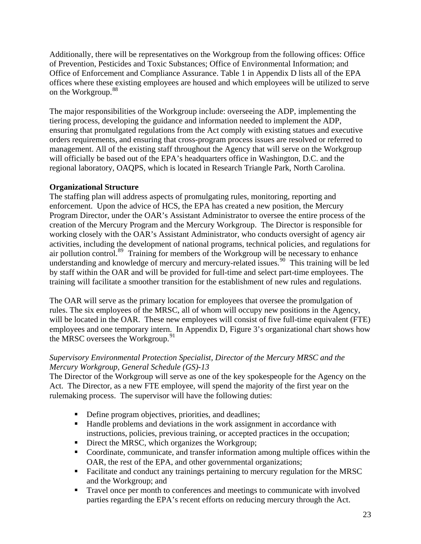<span id="page-23-0"></span>Additionally, there will be representatives on the Workgroup from the following offices: Office of Prevention, Pesticides and Toxic Substances; Office of Environmental Information; and Office of Enforcement and Compliance Assurance. Table 1 in Appendix D lists all of the EPA offices where these existing employees are housed and which employees will be utilized to serve on the Workgroup.<sup>[88](#page-63-1)</sup>

The major responsibilities of the Workgroup include: overseeing the ADP, implementing the tiering process, developing the guidance and information needed to implement the ADP, ensuring that promulgated regulations from the Act comply with existing statues and executive orders requirements, and ensuring that cross-program process issues are resolved or referred to management. All of the existing staff throughout the Agency that will serve on the Workgroup will officially be based out of the EPA's headquarters office in Washington, D.C. and the regional laboratory, OAQPS, which is located in Research Triangle Park, North Carolina.

# **Organizational Structure**

The staffing plan will address aspects of promulgating rules, monitoring, reporting and enforcement. Upon the advice of HCS, the EPA has created a new position, the Mercury Program Director, under the OAR's Assistant Administrator to oversee the entire process of the creation of the Mercury Program and the Mercury Workgroup. The Director is responsible for working closely with the OAR's Assistant Administrator, who conducts oversight of agency air activities, including the development of national programs, technical policies, and regulations for air pollution control.[89](#page-63-1) Training for members of the Workgroup will be necessary to enhance understanding and knowledge of mercury and mercury-related issues.<sup>[90](#page-63-1)</sup> This training will be led by staff within the OAR and will be provided for full-time and select part-time employees. The training will facilitate a smoother transition for the establishment of new rules and regulations.

The OAR will serve as the primary location for employees that oversee the promulgation of rules. The six employees of the MRSC, all of whom will occupy new positions in the Agency, will be located in the OAR. These new employees will consist of five full-time equivalent (FTE) employees and one temporary intern. In Appendix D, Figure 3's organizational chart shows how the MRSC oversees the Workgroup. $91$ 

#### *Supervisory Environmental Protection Specialist, Director of the Mercury MRSC and the Mercury Workgroup, General Schedule (GS)-13*

The Director of the Workgroup will serve as one of the key spokespeople for the Agency on the Act. The Director, as a new FTE employee, will spend the majority of the first year on the rulemaking process. The supervisor will have the following duties:

- Define program objectives, priorities, and deadlines;
- Handle problems and deviations in the work assignment in accordance with instructions, policies, previous training, or accepted practices in the occupation;
- Direct the MRSC, which organizes the Workgroup;
- Coordinate, communicate, and transfer information among multiple offices within the OAR, the rest of the EPA, and other governmental organizations;
- Facilitate and conduct any trainings pertaining to mercury regulation for the MRSC and the Workgroup; and
- Travel once per month to conferences and meetings to communicate with involved parties regarding the EPA's recent efforts on reducing mercury through the Act.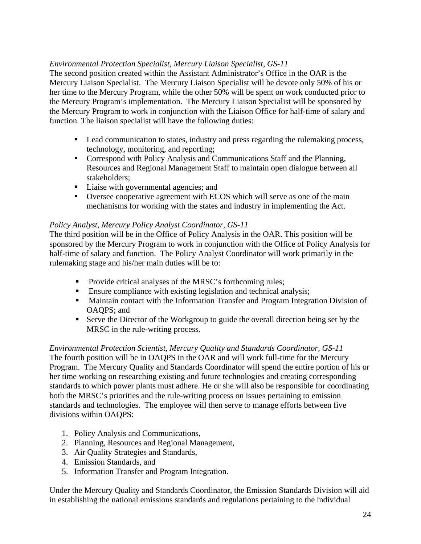# *Environmental Protection Specialist, Mercury Liaison Specialist, GS-11*

The second position created within the Assistant Administrator's Office in the OAR is the Mercury Liaison Specialist. The Mercury Liaison Specialist will be devote only 50% of his or her time to the Mercury Program, while the other 50% will be spent on work conducted prior to the Mercury Program's implementation. The Mercury Liaison Specialist will be sponsored by the Mercury Program to work in conjunction with the Liaison Office for half-time of salary and function. The liaison specialist will have the following duties:

- **Lead communication to states, industry and press regarding the rulemaking process,** technology, monitoring, and reporting;
- Correspond with Policy Analysis and Communications Staff and the Planning, Resources and Regional Management Staff to maintain open dialogue between all stakeholders;
- Liaise with governmental agencies; and
- Oversee cooperative agreement with ECOS which will serve as one of the main mechanisms for working with the states and industry in implementing the Act.

### *Policy Analyst, Mercury Policy Analyst Coordinator, GS-11*

The third position will be in the Office of Policy Analysis in the OAR. This position will be sponsored by the Mercury Program to work in conjunction with the Office of Policy Analysis for half-time of salary and function. The Policy Analyst Coordinator will work primarily in the rulemaking stage and his/her main duties will be to:

- Provide critical analyses of the MRSC's forthcoming rules;
- **Ensure compliance with existing legislation and technical analysis;**
- **Maintain contact with the Information Transfer and Program Integration Division of** OAQPS; and
- Serve the Director of the Workgroup to guide the overall direction being set by the MRSC in the rule-writing process.

### *Environmental Protection Scientist, Mercury Quality and Standards Coordinator, GS-11*

The fourth position will be in OAQPS in the OAR and will work full-time for the Mercury Program. The Mercury Quality and Standards Coordinator will spend the entire portion of his or her time working on researching existing and future technologies and creating corresponding standards to which power plants must adhere. He or she will also be responsible for coordinating both the MRSC's priorities and the rule-writing process on issues pertaining to emission standards and technologies. The employee will then serve to manage efforts between five divisions within OAQPS:

- 1. Policy Analysis and Communications,
- 2. Planning, Resources and Regional Management,
- 3. Air Quality Strategies and Standards,
- 4. Emission Standards, and
- 5. Information Transfer and Program Integration.

Under the Mercury Quality and Standards Coordinator, the Emission Standards Division will aid in establishing the national emissions standards and regulations pertaining to the individual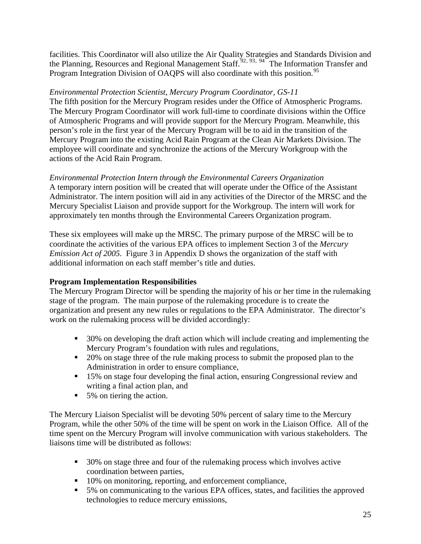<span id="page-25-0"></span>facilities. This Coordinator will also utilize the Air Quality Strategies and Standards Division and the Planning, Resources and Regional Management Staff.<sup>[92](#page-63-1), [93](#page-63-1), [94](#page-63-1)</sup> The Information Transfer and Program Integration Division of OAQPS will also coordinate with this position.<sup>[95](#page-63-1)</sup>

# *Environmental Protection Scientist, Mercury Program Coordinator, GS-11*

The fifth position for the Mercury Program resides under the Office of Atmospheric Programs. The Mercury Program Coordinator will work full-time to coordinate divisions within the Office of Atmospheric Programs and will provide support for the Mercury Program. Meanwhile, this person's role in the first year of the Mercury Program will be to aid in the transition of the Mercury Program into the existing Acid Rain Program at the Clean Air Markets Division. The employee will coordinate and synchronize the actions of the Mercury Workgroup with the actions of the Acid Rain Program.

#### *Environmental Protection Intern through the Environmental Careers Organization*  A temporary intern position will be created that will operate under the Office of the Assistant

Administrator. The intern position will aid in any activities of the Director of the MRSC and the Mercury Specialist Liaison and provide support for the Workgroup. The intern will work for approximately ten months through the Environmental Careers Organization program.

These six employees will make up the MRSC. The primary purpose of the MRSC will be to coordinate the activities of the various EPA offices to implement Section 3 of the *Mercury Emission Act of 2005.* Figure 3 in Appendix D shows the organization of the staff with additional information on each staff member's title and duties.

# **Program Implementation Responsibilities**

The Mercury Program Director will be spending the majority of his or her time in the rulemaking stage of the program. The main purpose of the rulemaking procedure is to create the organization and present any new rules or regulations to the EPA Administrator. The director's work on the rulemaking process will be divided accordingly:

- 30% on developing the draft action which will include creating and implementing the Mercury Program's foundation with rules and regulations,
- 20% on stage three of the rule making process to submit the proposed plan to the Administration in order to ensure compliance,
- <sup>15%</sup> on stage four developing the final action, ensuring Congressional review and writing a final action plan, and
- 5% on tiering the action.

The Mercury Liaison Specialist will be devoting 50% percent of salary time to the Mercury Program, while the other 50% of the time will be spent on work in the Liaison Office. All of the time spent on the Mercury Program will involve communication with various stakeholders. The liaisons time will be distributed as follows:

- 30% on stage three and four of the rulemaking process which involves active coordination between parties,
- 10% on monitoring, reporting, and enforcement compliance,
- 5% on communicating to the various EPA offices, states, and facilities the approved technologies to reduce mercury emissions,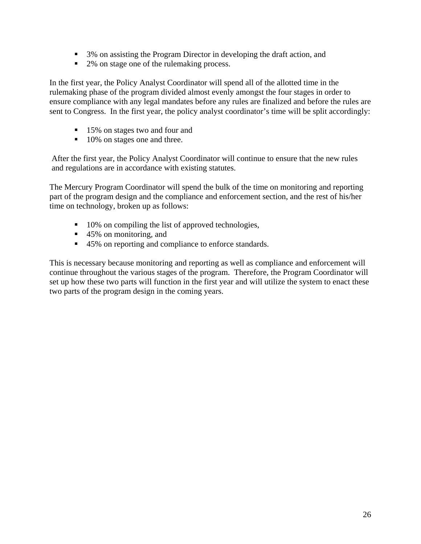- 3% on assisting the Program Director in developing the draft action, and
- 2% on stage one of the rulemaking process.

In the first year, the Policy Analyst Coordinator will spend all of the allotted time in the rulemaking phase of the program divided almost evenly amongst the four stages in order to ensure compliance with any legal mandates before any rules are finalized and before the rules are sent to Congress. In the first year, the policy analyst coordinator's time will be split accordingly:

- 15% on stages two and four and
- 10% on stages one and three.

After the first year, the Policy Analyst Coordinator will continue to ensure that the new rules and regulations are in accordance with existing statutes.

The Mercury Program Coordinator will spend the bulk of the time on monitoring and reporting part of the program design and the compliance and enforcement section, and the rest of his/her time on technology, broken up as follows:

- 10% on compiling the list of approved technologies,
- 45% on monitoring, and
- 45% on reporting and compliance to enforce standards.

This is necessary because monitoring and reporting as well as compliance and enforcement will continue throughout the various stages of the program. Therefore, the Program Coordinator will set up how these two parts will function in the first year and will utilize the system to enact these two parts of the program design in the coming years.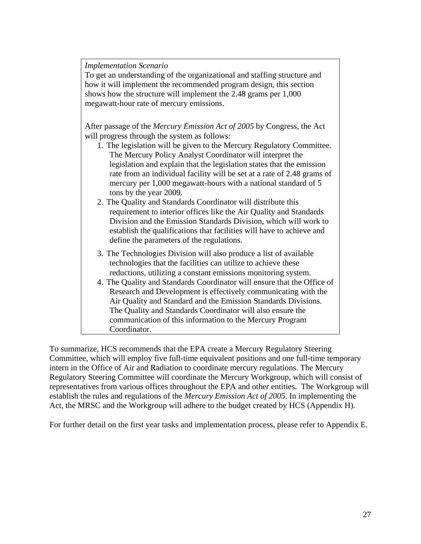*Implementation Scenario* 

To get an understanding of the organizational and staffing structure and how it will implement the recommended program design, this section shows how the structure will implement the 2.48 grams per 1,000 megawatt-hour rate of mercury emissions.

After passage of the *Mercury Emission Act of 2005* by Congress, the Act will progress through the system as follows:

- 1. The legislation will be given to the Mercury Regulatory Committee. The Mercury Policy Analyst Coordinator will interpret the legislation and explain that the legislation states that the emission rate from an individual facility will be set at a rate of 2.48 grams of mercury per 1,000 megawatt-hours with a national standard of 5 tons by the year 2009.
- 2. The Quality and Standards Coordinator will distribute this requirement to interior offices like the Air Quality and Standards Division and the Emission Standards Division, which will work to establish the qualifications that facilities will have to achieve and define the parameters of the regulations.
- 3. The Technologies Division will also produce a list of available technologies that the facilities can utilize to achieve these reductions, utilizing a constant emissions monitoring system.
- 4. The Quality and Standards Coordinator will ensure that the Office of Research and Development is effectively communicating with the Air Quality and Standard and the Emission Standards Divisions. The Quality and Standards Coordinator will also ensure the communication of this information to the Mercury Program Coordinator.

To summarize, HCS recommends that the EPA create a Mercury Regulatory Steering Committee, which will employ five full-time equivalent positions and one full-time temporary intern in the Office of Air and Radiation to coordinate mercury regulations. The Mercury Regulatory Steering Committee will coordinate the Mercury Workgroup, which will consist of representatives from various offices throughout the EPA and other entities. The Workgroup will establish the rules and regulations of the *Mercury Emission Act of 2005*. In implementing the Act, the MRSC and the Workgroup will adhere to the budget created by HCS (Appendix H).

For further detail on the first year tasks and implementation process, please refer to Appendix E.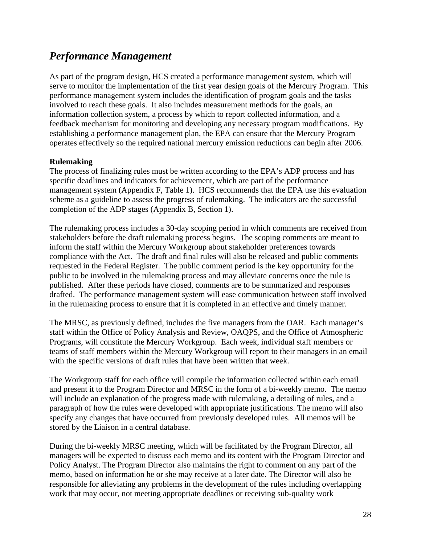# <span id="page-28-0"></span>*Performance Management*

As part of the program design, HCS created a performance management system, which will serve to monitor the implementation of the first year design goals of the Mercury Program. This performance management system includes the identification of program goals and the tasks involved to reach these goals. It also includes measurement methods for the goals, an information collection system, a process by which to report collected information, and a feedback mechanism for monitoring and developing any necessary program modifications. By establishing a performance management plan, the EPA can ensure that the Mercury Program operates effectively so the required national mercury emission reductions can begin after 2006.

#### **Rulemaking**

The process of finalizing rules must be written according to the EPA's ADP process and has specific deadlines and indicators for achievement, which are part of the performance management system (Appendix F, Table 1). HCS recommends that the EPA use this evaluation scheme as a guideline to assess the progress of rulemaking. The indicators are the successful completion of the ADP stages (Appendix B, Section 1).

The rulemaking process includes a 30-day scoping period in which comments are received from stakeholders before the draft rulemaking process begins. The scoping comments are meant to inform the staff within the Mercury Workgroup about stakeholder preferences towards compliance with the Act. The draft and final rules will also be released and public comments requested in the Federal Register. The public comment period is the key opportunity for the public to be involved in the rulemaking process and may alleviate concerns once the rule is published. After these periods have closed, comments are to be summarized and responses drafted. The performance management system will ease communication between staff involved in the rulemaking process to ensure that it is completed in an effective and timely manner.

The MRSC, as previously defined, includes the five managers from the OAR. Each manager's staff within the Office of Policy Analysis and Review, OAQPS, and the Office of Atmospheric Programs, will constitute the Mercury Workgroup. Each week, individual staff members or teams of staff members within the Mercury Workgroup will report to their managers in an email with the specific versions of draft rules that have been written that week.

The Workgroup staff for each office will compile the information collected within each email and present it to the Program Director and MRSC in the form of a bi-weekly memo. The memo will include an explanation of the progress made with rulemaking, a detailing of rules, and a paragraph of how the rules were developed with appropriate justifications. The memo will also specify any changes that have occurred from previously developed rules. All memos will be stored by the Liaison in a central database.

During the bi-weekly MRSC meeting, which will be facilitated by the Program Director, all managers will be expected to discuss each memo and its content with the Program Director and Policy Analyst. The Program Director also maintains the right to comment on any part of the memo, based on information he or she may receive at a later date. The Director will also be responsible for alleviating any problems in the development of the rules including overlapping work that may occur, not meeting appropriate deadlines or receiving sub-quality work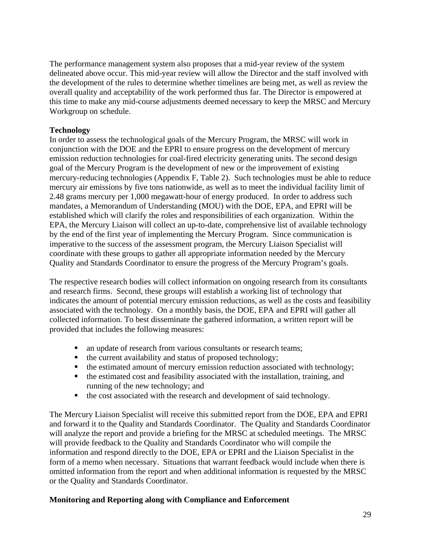<span id="page-29-0"></span>The performance management system also proposes that a mid-year review of the system delineated above occur. This mid-year review will allow the Director and the staff involved with the development of the rules to determine whether timelines are being met, as well as review the overall quality and acceptability of the work performed thus far. The Director is empowered at this time to make any mid-course adjustments deemed necessary to keep the MRSC and Mercury Workgroup on schedule.

### **Technology**

In order to assess the technological goals of the Mercury Program, the MRSC will work in conjunction with the DOE and the EPRI to ensure progress on the development of mercury emission reduction technologies for coal-fired electricity generating units. The second design goal of the Mercury Program is the development of new or the improvement of existing mercury-reducing technologies (Appendix F, Table 2). Such technologies must be able to reduce mercury air emissions by five tons nationwide, as well as to meet the individual facility limit of 2.48 grams mercury per 1,000 megawatt-hour of energy produced. In order to address such mandates, a Memorandum of Understanding (MOU) with the DOE, EPA, and EPRI will be established which will clarify the roles and responsibilities of each organization. Within the EPA, the Mercury Liaison will collect an up-to-date, comprehensive list of available technology by the end of the first year of implementing the Mercury Program. Since communication is imperative to the success of the assessment program, the Mercury Liaison Specialist will coordinate with these groups to gather all appropriate information needed by the Mercury Quality and Standards Coordinator to ensure the progress of the Mercury Program's goals.

The respective research bodies will collect information on ongoing research from its consultants and research firms. Second, these groups will establish a working list of technology that indicates the amount of potential mercury emission reductions, as well as the costs and feasibility associated with the technology. On a monthly basis, the DOE, EPA and EPRI will gather all collected information. To best disseminate the gathered information, a written report will be provided that includes the following measures:

- an update of research from various consultants or research teams;
- $\blacksquare$  the current availability and status of proposed technology;
- $\blacksquare$  the estimated amount of mercury emission reduction associated with technology;
- $\blacksquare$  the estimated cost and feasibility associated with the installation, training, and running of the new technology; and
- the cost associated with the research and development of said technology.

The Mercury Liaison Specialist will receive this submitted report from the DOE, EPA and EPRI and forward it to the Quality and Standards Coordinator. The Quality and Standards Coordinator will analyze the report and provide a briefing for the MRSC at scheduled meetings. The MRSC will provide feedback to the Quality and Standards Coordinator who will compile the information and respond directly to the DOE, EPA or EPRI and the Liaison Specialist in the form of a memo when necessary. Situations that warrant feedback would include when there is omitted information from the report and when additional information is requested by the MRSC or the Quality and Standards Coordinator.

#### **Monitoring and Reporting along with Compliance and Enforcement**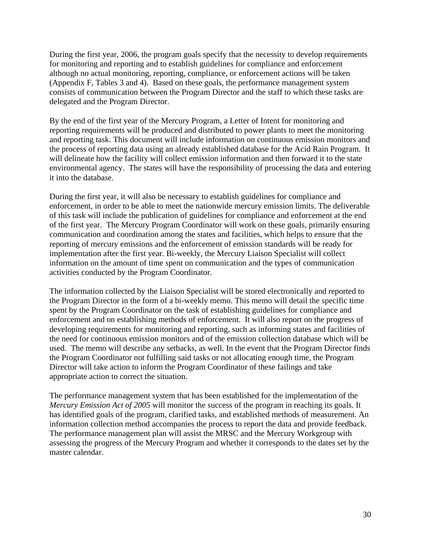During the first year, 2006, the program goals specify that the necessity to develop requirements for monitoring and reporting and to establish guidelines for compliance and enforcement although no actual monitoring, reporting, compliance, or enforcement actions will be taken (Appendix F, Tables 3 and 4). Based on these goals, the performance management system consists of communication between the Program Director and the staff to which these tasks are delegated and the Program Director.

By the end of the first year of the Mercury Program, a Letter of Intent for monitoring and reporting requirements will be produced and distributed to power plants to meet the monitoring and reporting task. This document will include information on continuous emission monitors and the process of reporting data using an already established database for the Acid Rain Program. It will delineate how the facility will collect emission information and then forward it to the state environmental agency. The states will have the responsibility of processing the data and entering it into the database.

During the first year, it will also be necessary to establish guidelines for compliance and enforcement, in order to be able to meet the nationwide mercury emission limits. The deliverable of this task will include the publication of guidelines for compliance and enforcement at the end of the first year. The Mercury Program Coordinator will work on these goals, primarily ensuring communication and coordination among the states and facilities, which helps to ensure that the reporting of mercury emissions and the enforcement of emission standards will be ready for implementation after the first year. Bi-weekly, the Mercury Liaison Specialist will collect information on the amount of time spent on communication and the types of communication activities conducted by the Program Coordinator.

The information collected by the Liaison Specialist will be stored electronically and reported to the Program Director in the form of a bi-weekly memo. This memo will detail the specific time spent by the Program Coordinator on the task of establishing guidelines for compliance and enforcement and on establishing methods of enforcement. It will also report on the progress of developing requirements for monitoring and reporting, such as informing states and facilities of the need for continuous emission monitors and of the emission collection database which will be used. The memo will describe any setbacks, as well. In the event that the Program Director finds the Program Coordinator not fulfilling said tasks or not allocating enough time, the Program Director will take action to inform the Program Coordinator of these failings and take appropriate action to correct the situation.

The performance management system that has been established for the implementation of the *Mercury Emission Act of 2005* will monitor the success of the program in reaching its goals. It has identified goals of the program, clarified tasks, and established methods of measurement. An information collection method accompanies the process to report the data and provide feedback. The performance management plan will assist the MRSC and the Mercury Workgroup with assessing the progress of the Mercury Program and whether it corresponds to the dates set by the master calendar.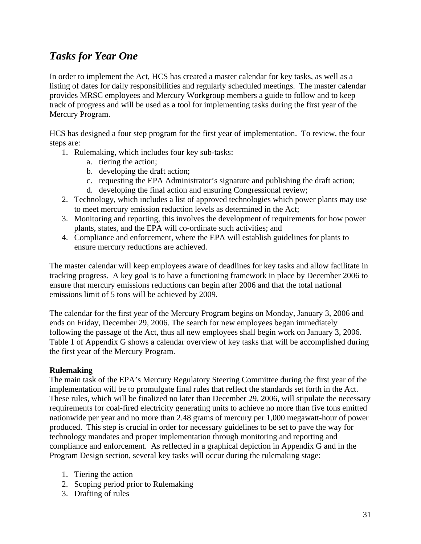# <span id="page-31-0"></span>*Tasks for Year One*

In order to implement the Act, HCS has created a master calendar for key tasks, as well as a listing of dates for daily responsibilities and regularly scheduled meetings. The master calendar provides MRSC employees and Mercury Workgroup members a guide to follow and to keep track of progress and will be used as a tool for implementing tasks during the first year of the Mercury Program.

HCS has designed a four step program for the first year of implementation. To review, the four steps are:

- 1. Rulemaking, which includes four key sub-tasks:
	- a. tiering the action;
	- b. developing the draft action;
	- c. requesting the EPA Administrator's signature and publishing the draft action;
	- d. developing the final action and ensuring Congressional review;
- 2. Technology, which includes a list of approved technologies which power plants may use to meet mercury emission reduction levels as determined in the Act;
- 3. Monitoring and reporting, this involves the development of requirements for how power plants, states, and the EPA will co-ordinate such activities; and
- 4. Compliance and enforcement, where the EPA will establish guidelines for plants to ensure mercury reductions are achieved.

The master calendar will keep employees aware of deadlines for key tasks and allow facilitate in tracking progress. A key goal is to have a functioning framework in place by December 2006 to ensure that mercury emissions reductions can begin after 2006 and that the total national emissions limit of 5 tons will be achieved by 2009.

The calendar for the first year of the Mercury Program begins on Monday, January 3, 2006 and ends on Friday, December 29, 2006. The search for new employees began immediately following the passage of the Act, thus all new employees shall begin work on January 3, 2006. Table 1 of Appendix G shows a calendar overview of key tasks that will be accomplished during the first year of the Mercury Program.

#### **Rulemaking**

The main task of the EPA's Mercury Regulatory Steering Committee during the first year of the implementation will be to promulgate final rules that reflect the standards set forth in the Act. These rules, which will be finalized no later than December 29, 2006, will stipulate the necessary requirements for coal-fired electricity generating units to achieve no more than five tons emitted nationwide per year and no more than 2.48 grams of mercury per 1,000 megawatt-hour of power produced. This step is crucial in order for necessary guidelines to be set to pave the way for technology mandates and proper implementation through monitoring and reporting and compliance and enforcement. As reflected in a graphical depiction in Appendix G and in the Program Design section, several key tasks will occur during the rulemaking stage:

- 1. Tiering the action
- 2. Scoping period prior to Rulemaking
- 3. Drafting of rules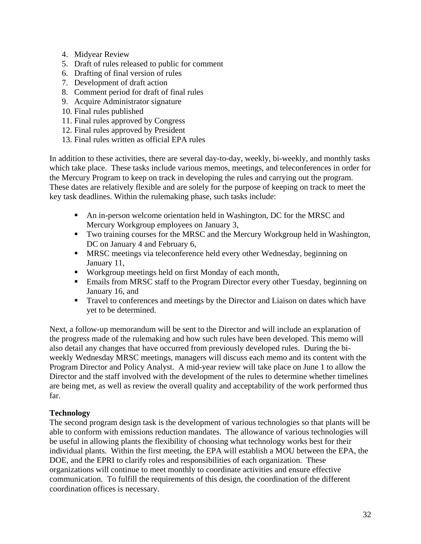- <span id="page-32-0"></span>4. Midyear Review
- 5. Draft of rules released to public for comment
- 6. Drafting of final version of rules
- 7. Development of draft action
- 8. Comment period for draft of final rules
- 9. Acquire Administrator signature
- 10. Final rules published
- 11. Final rules approved by Congress
- 12. Final rules approved by President
- 13. Final rules written as official EPA rules

In addition to these activities, there are several day-to-day, weekly, bi-weekly, and monthly tasks which take place. These tasks include various memos, meetings, and teleconferences in order for the Mercury Program to keep on track in developing the rules and carrying out the program. These dates are relatively flexible and are solely for the purpose of keeping on track to meet the key task deadlines. Within the rulemaking phase, such tasks include:

- An in-person welcome orientation held in Washington, DC for the MRSC and Mercury Workgroup employees on January 3,
- Two training courses for the MRSC and the Mercury Workgroup held in Washington, DC on January 4 and February 6,
- MRSC meetings via teleconference held every other Wednesday, beginning on January 11,
- Workgroup meetings held on first Monday of each month,
- Emails from MRSC staff to the Program Director every other Tuesday, beginning on January 16, and
- Travel to conferences and meetings by the Director and Liaison on dates which have yet to be determined.

Next, a follow-up memorandum will be sent to the Director and will include an explanation of the progress made of the rulemaking and how such rules have been developed. This memo will also detail any changes that have occurred from previously developed rules. During the biweekly Wednesday MRSC meetings, managers will discuss each memo and its content with the Program Director and Policy Analyst. A mid-year review will take place on June 1 to allow the Director and the staff involved with the development of the rules to determine whether timelines are being met, as well as review the overall quality and acceptability of the work performed thus far.

# **Technology**

The second program design task is the development of various technologies so that plants will be able to conform with emissions reduction mandates. The allowance of various technologies will be useful in allowing plants the flexibility of choosing what technology works best for their individual plants. Within the first meeting, the EPA will establish a MOU between the EPA, the DOE, and the EPRI to clarify roles and responsibilities of each organization. These organizations will continue to meet monthly to coordinate activities and ensure effective communication. To fulfill the requirements of this design, the coordination of the different coordination offices is necessary.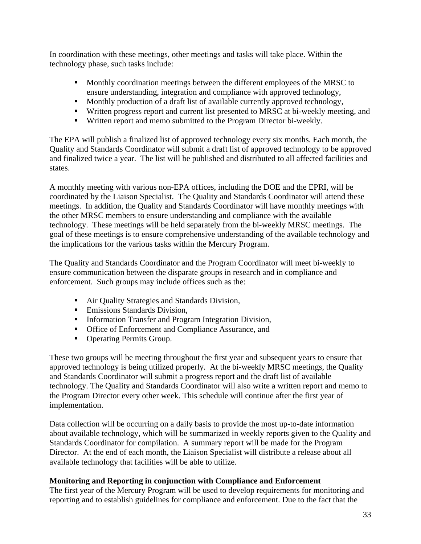<span id="page-33-0"></span>In coordination with these meetings, other meetings and tasks will take place. Within the technology phase, such tasks include:

- **Monthly coordination meetings between the different employees of the MRSC to** ensure understanding, integration and compliance with approved technology,
- **Monthly production of a draft list of available currently approved technology,**
- Written progress report and current list presented to MRSC at bi-weekly meeting, and
- Written report and memo submitted to the Program Director bi-weekly.

The EPA will publish a finalized list of approved technology every six months. Each month, the Quality and Standards Coordinator will submit a draft list of approved technology to be approved and finalized twice a year. The list will be published and distributed to all affected facilities and states.

A monthly meeting with various non-EPA offices, including the DOE and the EPRI, will be coordinated by the Liaison Specialist. The Quality and Standards Coordinator will attend these meetings. In addition, the Quality and Standards Coordinator will have monthly meetings with the other MRSC members to ensure understanding and compliance with the available technology. These meetings will be held separately from the bi-weekly MRSC meetings. The goal of these meetings is to ensure comprehensive understanding of the available technology and the implications for the various tasks within the Mercury Program.

The Quality and Standards Coordinator and the Program Coordinator will meet bi-weekly to ensure communication between the disparate groups in research and in compliance and enforcement. Such groups may include offices such as the:

- Air Quality Strategies and Standards Division,
- **Emissions Standards Division,**
- **Information Transfer and Program Integration Division,**
- **Office of Enforcement and Compliance Assurance, and**
- Operating Permits Group.

These two groups will be meeting throughout the first year and subsequent years to ensure that approved technology is being utilized properly. At the bi-weekly MRSC meetings, the Quality and Standards Coordinator will submit a progress report and the draft list of available technology. The Quality and Standards Coordinator will also write a written report and memo to the Program Director every other week. This schedule will continue after the first year of implementation.

Data collection will be occurring on a daily basis to provide the most up-to-date information about available technology, which will be summarized in weekly reports given to the Quality and Standards Coordinator for compilation. A summary report will be made for the Program Director. At the end of each month, the Liaison Specialist will distribute a release about all available technology that facilities will be able to utilize.

### **Monitoring and Reporting in conjunction with Compliance and Enforcement**

The first year of the Mercury Program will be used to develop requirements for monitoring and reporting and to establish guidelines for compliance and enforcement. Due to the fact that the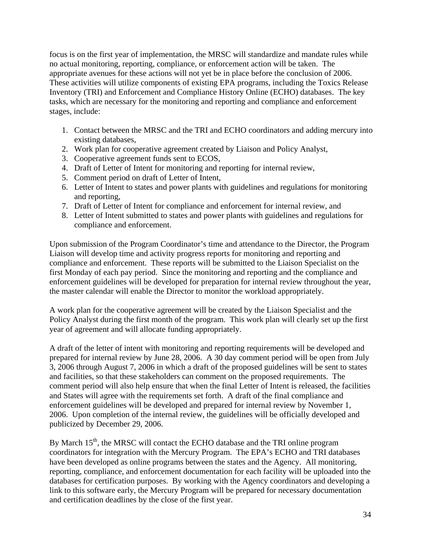focus is on the first year of implementation, the MRSC will standardize and mandate rules while no actual monitoring, reporting, compliance, or enforcement action will be taken. The appropriate avenues for these actions will not yet be in place before the conclusion of 2006. These activities will utilize components of existing EPA programs, including the Toxics Release Inventory (TRI) and Enforcement and Compliance History Online (ECHO) databases. The key tasks, which are necessary for the monitoring and reporting and compliance and enforcement stages, include:

- 1. Contact between the MRSC and the TRI and ECHO coordinators and adding mercury into existing databases,
- 2. Work plan for cooperative agreement created by Liaison and Policy Analyst,
- 3. Cooperative agreement funds sent to ECOS,
- 4. Draft of Letter of Intent for monitoring and reporting for internal review,
- 5. Comment period on draft of Letter of Intent,
- 6. Letter of Intent to states and power plants with guidelines and regulations for monitoring and reporting,
- 7. Draft of Letter of Intent for compliance and enforcement for internal review, and
- 8. Letter of Intent submitted to states and power plants with guidelines and regulations for compliance and enforcement.

Upon submission of the Program Coordinator's time and attendance to the Director, the Program Liaison will develop time and activity progress reports for monitoring and reporting and compliance and enforcement. These reports will be submitted to the Liaison Specialist on the first Monday of each pay period. Since the monitoring and reporting and the compliance and enforcement guidelines will be developed for preparation for internal review throughout the year, the master calendar will enable the Director to monitor the workload appropriately.

A work plan for the cooperative agreement will be created by the Liaison Specialist and the Policy Analyst during the first month of the program. This work plan will clearly set up the first year of agreement and will allocate funding appropriately.

A draft of the letter of intent with monitoring and reporting requirements will be developed and prepared for internal review by June 28, 2006. A 30 day comment period will be open from July 3, 2006 through August 7, 2006 in which a draft of the proposed guidelines will be sent to states and facilities, so that these stakeholders can comment on the proposed requirements. The comment period will also help ensure that when the final Letter of Intent is released, the facilities and States will agree with the requirements set forth. A draft of the final compliance and enforcement guidelines will be developed and prepared for internal review by November 1, 2006. Upon completion of the internal review, the guidelines will be officially developed and publicized by December 29, 2006.

By March  $15<sup>th</sup>$ , the MRSC will contact the ECHO database and the TRI online program coordinators for integration with the Mercury Program. The EPA's ECHO and TRI databases have been developed as online programs between the states and the Agency. All monitoring, reporting, compliance, and enforcement documentation for each facility will be uploaded into the databases for certification purposes. By working with the Agency coordinators and developing a link to this software early, the Mercury Program will be prepared for necessary documentation and certification deadlines by the close of the first year.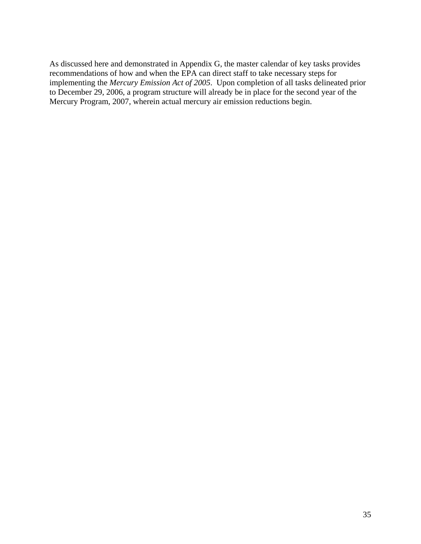As discussed here and demonstrated in Appendix G, the master calendar of key tasks provides recommendations of how and when the EPA can direct staff to take necessary steps for implementing the *Mercury Emission Act of 2005*. Upon completion of all tasks delineated prior to December 29, 2006, a program structure will already be in place for the second year of the Mercury Program, 2007, wherein actual mercury air emission reductions begin.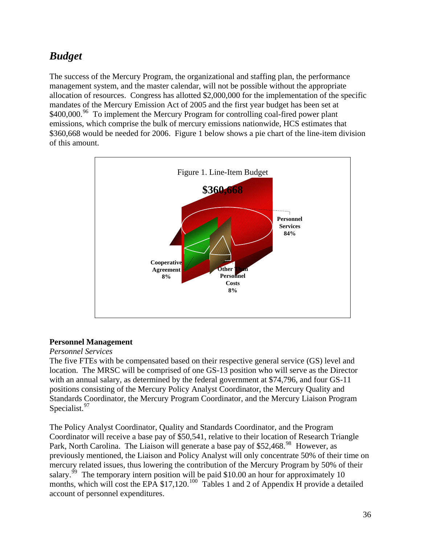# <span id="page-36-0"></span>*Budget*

The success of the Mercury Program, the organizational and staffing plan, the performance management system, and the master calendar, will not be possible without the appropriate allocation of resources. Congress has allotted \$2,000,000 for the implementation of the specific mandates of the Mercury Emission Act of 2005 and the first year budget has been set at \$400,000.<sup>[96](#page-63-1)</sup> To implement the Mercury Program for controlling coal-fired power plant emissions, which comprise the bulk of mercury emissions nationwide, HCS estimates that \$360,668 would be needed for 2006. Figure 1 below shows a pie chart of the line-item division of this amount.



# **Personnel Management**

#### *Personnel Services*

The five FTEs with be compensated based on their respective general service (GS) level and location. The MRSC will be comprised of one GS-13 position who will serve as the Director with an annual salary, as determined by the federal government at \$74,796, and four GS-11 positions consisting of the Mercury Policy Analyst Coordinator, the Mercury Quality and Standards Coordinator, the Mercury Program Coordinator, and the Mercury Liaison Program Specialist.<sup>[97](#page-63-1)</sup>

The Policy Analyst Coordinator, Quality and Standards Coordinator, and the Program Coordinator will receive a base pay of \$50,541, relative to their location of Research Triangle Park, North Carolina. The Liaison will generate a base pay of \$52,468<sup>[98](#page-63-1)</sup> However, as previously mentioned, the Liaison and Policy Analyst will only concentrate 50% of their time on mercury related issues, thus lowering the contribution of the Mercury Program by 50% of their salary.<sup>[99](#page-63-1)</sup> The temporary intern position will be paid \$10.00 an hour for approximately 10 months, which will cost the EPA  $$17,120$ <sup>[100](#page-63-1)</sup> Tables 1 and 2 of Appendix H provide a detailed account of personnel expenditures.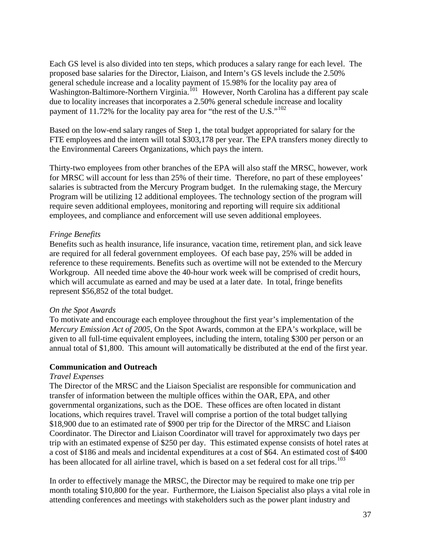<span id="page-37-0"></span>Each GS level is also divided into ten steps, which produces a salary range for each level. The proposed base salaries for the Director, Liaison, and Intern's GS levels include the 2.50% general schedule increase and a locality payment of 15.98% for the locality pay area of Washington-Baltimore-Northern Virginia.<sup>[101](#page-63-1)</sup> However, North Carolina has a different pay scale due to locality increases that incorporates a 2.50% general schedule increase and locality payment of 11.72% for the locality pay area for "the rest of the U.S."<sup>[102](#page-63-1)</sup>

Based on the low-end salary ranges of Step 1, the total budget appropriated for salary for the FTE employees and the intern will total \$303,178 per year. The EPA transfers money directly to the Environmental Careers Organizations, which pays the intern.

Thirty-two employees from other branches of the EPA will also staff the MRSC, however, work for MRSC will account for less than 25% of their time. Therefore, no part of these employees' salaries is subtracted from the Mercury Program budget. In the rulemaking stage, the Mercury Program will be utilizing 12 additional employees. The technology section of the program will require seven additional employees, monitoring and reporting will require six additional employees, and compliance and enforcement will use seven additional employees.

#### *Fringe Benefits*

Benefits such as health insurance, life insurance, vacation time, retirement plan, and sick leave are required for all federal government employees. Of each base pay, 25% will be added in reference to these requirements. Benefits such as overtime will not be extended to the Mercury Workgroup. All needed time above the 40-hour work week will be comprised of credit hours, which will accumulate as earned and may be used at a later date. In total, fringe benefits represent \$56,852 of the total budget.

#### *On the Spot Awards*

To motivate and encourage each employee throughout the first year's implementation of the *Mercury Emission Act of 2005*, On the Spot Awards, common at the EPA's workplace, will be given to all full-time equivalent employees, including the intern, totaling \$300 per person or an annual total of \$1,800. This amount will automatically be distributed at the end of the first year.

#### **Communication and Outreach**

#### *Travel Expenses*

The Director of the MRSC and the Liaison Specialist are responsible for communication and transfer of information between the multiple offices within the OAR, EPA, and other governmental organizations, such as the DOE. These offices are often located in distant locations, which requires travel. Travel will comprise a portion of the total budget tallying \$18,900 due to an estimated rate of \$900 per trip for the Director of the MRSC and Liaison Coordinator. The Director and Liaison Coordinator will travel for approximately two days per trip with an estimated expense of \$250 per day. This estimated expense consists of hotel rates at a cost of \$186 and meals and incidental expenditures at a cost of \$64. An estimated cost of \$400 has been allocated for all airline travel, which is based on a set federal cost for all trips.<sup>[103](#page-63-1)</sup>

In order to effectively manage the MRSC, the Director may be required to make one trip per month totaling \$10,800 for the year. Furthermore, the Liaison Specialist also plays a vital role in attending conferences and meetings with stakeholders such as the power plant industry and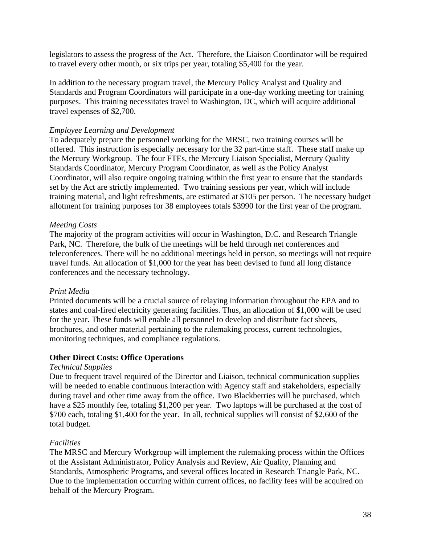<span id="page-38-0"></span>legislators to assess the progress of the Act. Therefore, the Liaison Coordinator will be required to travel every other month, or six trips per year, totaling \$5,400 for the year.

In addition to the necessary program travel, the Mercury Policy Analyst and Quality and Standards and Program Coordinators will participate in a one-day working meeting for training purposes. This training necessitates travel to Washington, DC, which will acquire additional travel expenses of \$2,700.

#### *Employee Learning and Development*

To adequately prepare the personnel working for the MRSC, two training courses will be offered. This instruction is especially necessary for the 32 part-time staff. These staff make up the Mercury Workgroup. The four FTEs, the Mercury Liaison Specialist, Mercury Quality Standards Coordinator, Mercury Program Coordinator, as well as the Policy Analyst Coordinator, will also require ongoing training within the first year to ensure that the standards set by the Act are strictly implemented. Two training sessions per year, which will include training material, and light refreshments, are estimated at \$105 per person. The necessary budget allotment for training purposes for 38 employees totals \$3990 for the first year of the program.

#### *Meeting Costs*

The majority of the program activities will occur in Washington, D.C. and Research Triangle Park, NC. Therefore, the bulk of the meetings will be held through net conferences and teleconferences. There will be no additional meetings held in person, so meetings will not require travel funds. An allocation of \$1,000 for the year has been devised to fund all long distance conferences and the necessary technology.

#### *Print Media*

Printed documents will be a crucial source of relaying information throughout the EPA and to states and coal-fired electricity generating facilities. Thus, an allocation of \$1,000 will be used for the year. These funds will enable all personnel to develop and distribute fact sheets, brochures, and other material pertaining to the rulemaking process, current technologies, monitoring techniques, and compliance regulations.

#### **Other Direct Costs: Office Operations**

#### *Technical Supplies*

Due to frequent travel required of the Director and Liaison, technical communication supplies will be needed to enable continuous interaction with Agency staff and stakeholders, especially during travel and other time away from the office. Two Blackberries will be purchased, which have a \$25 monthly fee, totaling \$1,200 per year. Two laptops will be purchased at the cost of \$700 each, totaling \$1,400 for the year. In all, technical supplies will consist of \$2,600 of the total budget.

### *Facilities*

The MRSC and Mercury Workgroup will implement the rulemaking process within the Offices of the Assistant Administrator, Policy Analysis and Review, Air Quality, Planning and Standards, Atmospheric Programs, and several offices located in Research Triangle Park, NC. Due to the implementation occurring within current offices, no facility fees will be acquired on behalf of the Mercury Program.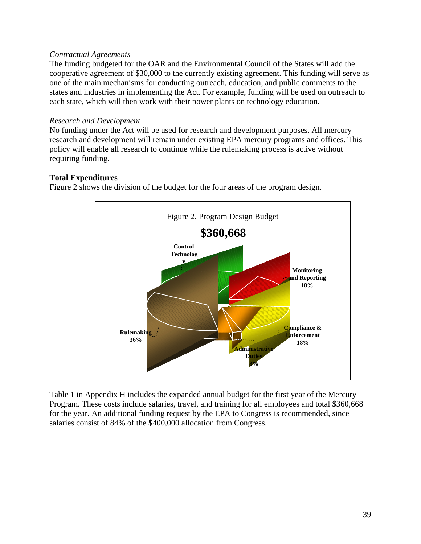#### <span id="page-39-0"></span>*Contractual Agreements*

The funding budgeted for the OAR and the Environmental Council of the States will add the cooperative agreement of \$30,000 to the currently existing agreement. This funding will serve as one of the main mechanisms for conducting outreach, education, and public comments to the states and industries in implementing the Act. For example, funding will be used on outreach to each state, which will then work with their power plants on technology education.

#### *Research and Development*

No funding under the Act will be used for research and development purposes. All mercury research and development will remain under existing EPA mercury programs and offices. This policy will enable all research to continue while the rulemaking process is active without requiring funding.

#### **Total Expenditures**

Figure 2 shows the division of the budget for the four areas of the program design.



Table 1 in Appendix H includes the expanded annual budget for the first year of the Mercury Program. These costs include salaries, travel, and training for all employees and total \$360,668 for the year. An additional funding request by the EPA to Congress is recommended, since salaries consist of 84% of the \$400,000 allocation from Congress.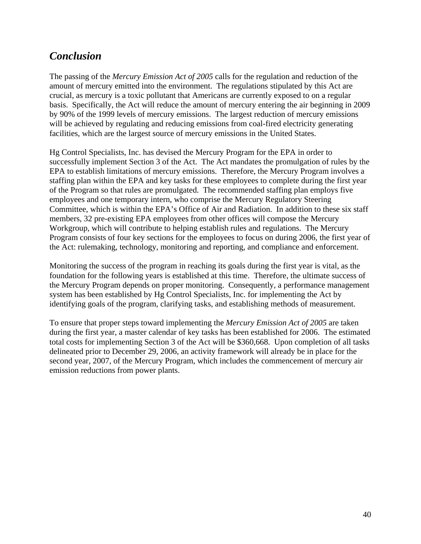# <span id="page-40-0"></span>*Conclusion*

The passing of the *Mercury Emission Act of 2005* calls for the regulation and reduction of the amount of mercury emitted into the environment. The regulations stipulated by this Act are crucial, as mercury is a toxic pollutant that Americans are currently exposed to on a regular basis. Specifically, the Act will reduce the amount of mercury entering the air beginning in 2009 by 90% of the 1999 levels of mercury emissions. The largest reduction of mercury emissions will be achieved by regulating and reducing emissions from coal-fired electricity generating facilities, which are the largest source of mercury emissions in the United States.

Hg Control Specialists, Inc. has devised the Mercury Program for the EPA in order to successfully implement Section 3 of the Act. The Act mandates the promulgation of rules by the EPA to establish limitations of mercury emissions. Therefore, the Mercury Program involves a staffing plan within the EPA and key tasks for these employees to complete during the first year of the Program so that rules are promulgated. The recommended staffing plan employs five employees and one temporary intern, who comprise the Mercury Regulatory Steering Committee, which is within the EPA's Office of Air and Radiation. In addition to these six staff members, 32 pre-existing EPA employees from other offices will compose the Mercury Workgroup, which will contribute to helping establish rules and regulations. The Mercury Program consists of four key sections for the employees to focus on during 2006, the first year of the Act: rulemaking, technology, monitoring and reporting, and compliance and enforcement.

Monitoring the success of the program in reaching its goals during the first year is vital, as the foundation for the following years is established at this time. Therefore, the ultimate success of the Mercury Program depends on proper monitoring. Consequently, a performance management system has been established by Hg Control Specialists, Inc. for implementing the Act by identifying goals of the program, clarifying tasks, and establishing methods of measurement.

To ensure that proper steps toward implementing the *Mercury Emission Act of 2005* are taken during the first year, a master calendar of key tasks has been established for 2006. The estimated total costs for implementing Section 3 of the Act will be \$360,668. Upon completion of all tasks delineated prior to December 29, 2006, an activity framework will already be in place for the second year, 2007, of the Mercury Program, which includes the commencement of mercury air emission reductions from power plants.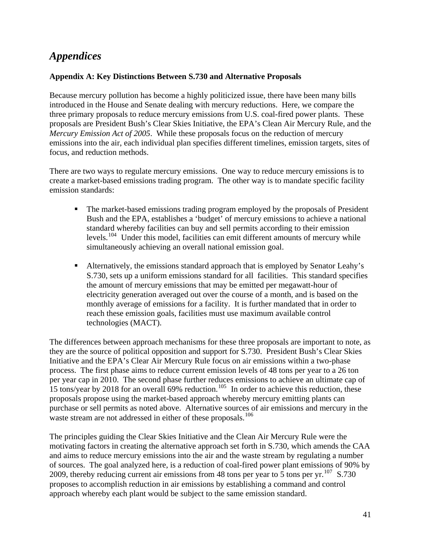# <span id="page-41-0"></span>*Appendices*

#### **Appendix A: Key Distinctions Between S.730 and Alternative Proposals**

Because mercury pollution has become a highly politicized issue, there have been many bills introduced in the House and Senate dealing with mercury reductions. Here, we compare the three primary proposals to reduce mercury emissions from U.S. coal-fired power plants. These proposals are President Bush's Clear Skies Initiative, the EPA's Clean Air Mercury Rule, and the *Mercury Emission Act of 2005*. While these proposals focus on the reduction of mercury emissions into the air, each individual plan specifies different timelines, emission targets, sites of focus, and reduction methods.

There are two ways to regulate mercury emissions. One way to reduce mercury emissions is to create a market-based emissions trading program. The other way is to mandate specific facility emission standards:

- The market-based emissions trading program employed by the proposals of President Bush and the EPA, establishes a 'budget' of mercury emissions to achieve a national standard whereby facilities can buy and sell permits according to their emission levels.<sup>[104](#page-63-1)</sup> Under this model, facilities can emit different amounts of mercury while simultaneously achieving an overall national emission goal.
- Alternatively, the emissions standard approach that is employed by Senator Leahy's S.730, sets up a uniform emissions standard for all facilities. This standard specifies the amount of mercury emissions that may be emitted per megawatt-hour of electricity generation averaged out over the course of a month, and is based on the monthly average of emissions for a facility. It is further mandated that in order to reach these emission goals, facilities must use maximum available control technologies (MACT).

The differences between approach mechanisms for these three proposals are important to note, as they are the source of political opposition and support for S.730. President Bush's Clear Skies Initiative and the EPA's Clear Air Mercury Rule focus on air emissions within a two-phase process. The first phase aims to reduce current emission levels of 48 tons per year to a 26 ton per year cap in 2010. The second phase further reduces emissions to achieve an ultimate cap of 15 tons/year by 2018 for an overall 69% reduction.<sup>[105](#page-63-1)</sup> In order to achieve this reduction, these proposals propose using the market-based approach whereby mercury emitting plants can purchase or sell permits as noted above. Alternative sources of air emissions and mercury in the waste stream are not addressed in either of these proposals.<sup>[106](#page-63-1)</sup>

The principles guiding the Clear Skies Initiative and the Clean Air Mercury Rule were the motivating factors in creating the alternative approach set forth in S.730, which amends the CAA and aims to reduce mercury emissions into the air and the waste stream by regulating a number of sources. The goal analyzed here, is a reduction of coal-fired power plant emissions of 90% by 2009, thereby reducing current air emissions from 48 tons per year to 5 tons per yr.<sup>[107](#page-63-1)</sup> S.730 proposes to accomplish reduction in air emissions by establishing a command and control approach whereby each plant would be subject to the same emission standard.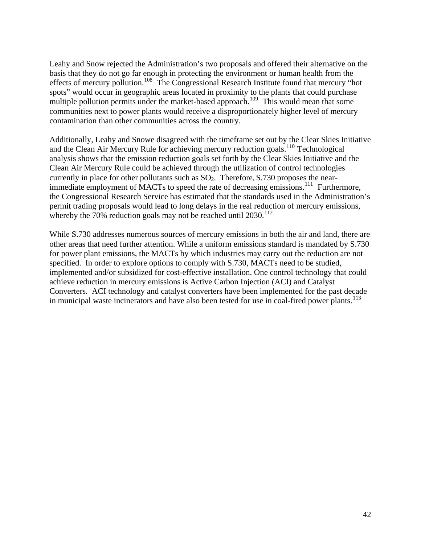Leahy and Snow rejected the Administration's two proposals and offered their alternative on the basis that they do not go far enough in protecting the environment or human health from the effects of mercury pollution.<sup>[108](#page-63-1)</sup> The Congressional Research Institute found that mercury "hot spots" would occur in geographic areas located in proximity to the plants that could purchase multiple pollution permits under the market-based approach.<sup>[109](#page-63-1)</sup> This would mean that some communities next to power plants would receive a disproportionately higher level of mercury contamination than other communities across the country.

Additionally, Leahy and Snowe disagreed with the timeframe set out by the Clear Skies Initiative and the Clean Air Mercury Rule for achieving mercury reduction goals.[110](#page-63-1) Technological analysis shows that the emission reduction goals set forth by the Clear Skies Initiative and the Clean Air Mercury Rule could be achieved through the utilization of control technologies currently in place for other pollutants such as  $SO_2$ . Therefore, S.730 proposes the near-immediate employment of MACTs to speed the rate of decreasing emissions.<sup>[111](#page-63-1)</sup> Furthermore, the Congressional Research Service has estimated that the standards used in the Administration's permit trading proposals would lead to long delays in the real reduction of mercury emissions, whereby the 70% reduction goals may not be reached until  $2030$ .<sup>[112](#page-63-1)</sup>

While S.730 addresses numerous sources of mercury emissions in both the air and land, there are other areas that need further attention. While a uniform emissions standard is mandated by S.730 for power plant emissions, the MACTs by which industries may carry out the reduction are not specified. In order to explore options to comply with S.730, MACTs need to be studied, implemented and/or subsidized for cost-effective installation. One control technology that could achieve reduction in mercury emissions is Active Carbon Injection (ACI) and Catalyst Converters. ACI technology and catalyst converters have been implemented for the past decade in municipal waste incinerators and have also been tested for use in coal-fired power plants.<sup>[113](#page-63-1)</sup>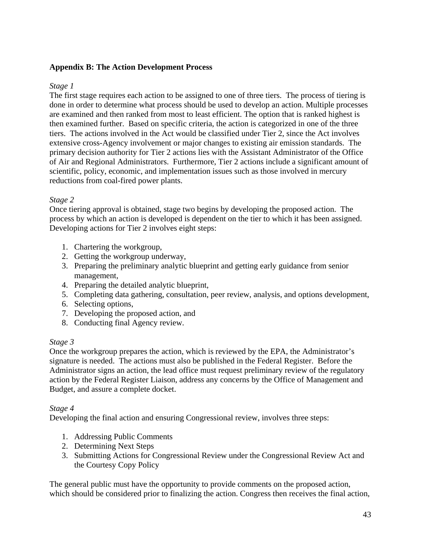### <span id="page-43-0"></span>**Appendix B: The Action Development Process**

### *Stage 1*

The first stage requires each action to be assigned to one of three tiers. The process of tiering is done in order to determine what process should be used to develop an action. Multiple processes are examined and then ranked from most to least efficient. The option that is ranked highest is then examined further. Based on specific criteria, the action is categorized in one of the three tiers. The actions involved in the Act would be classified under Tier 2, since the Act involves extensive cross-Agency involvement or major changes to existing air emission standards. The primary decision authority for Tier 2 actions lies with the Assistant Administrator of the Office of Air and Regional Administrators. Furthermore, Tier 2 actions include a significant amount of scientific, policy, economic, and implementation issues such as those involved in mercury reductions from coal-fired power plants.

# *Stage 2*

Once tiering approval is obtained, stage two begins by developing the proposed action. The process by which an action is developed is dependent on the tier to which it has been assigned. Developing actions for Tier 2 involves eight steps:

- 1. Chartering the workgroup,
- 2. Getting the workgroup underway,
- 3. Preparing the preliminary analytic blueprint and getting early guidance from senior management,
- 4. Preparing the detailed analytic blueprint,
- 5. Completing data gathering, consultation, peer review, analysis, and options development,
- 6. Selecting options,
- 7. Developing the proposed action, and
- 8. Conducting final Agency review.

# *Stage 3*

Once the workgroup prepares the action, which is reviewed by the EPA, the Administrator's signature is needed. The actions must also be published in the Federal Register. Before the Administrator signs an action, the lead office must request preliminary review of the regulatory action by the Federal Register Liaison, address any concerns by the Office of Management and Budget, and assure a complete docket.

### *Stage 4*

Developing the final action and ensuring Congressional review, involves three steps:

- 1. Addressing Public Comments
- 2. Determining Next Steps
- 3. Submitting Actions for Congressional Review under the Congressional Review Act and the Courtesy Copy Policy

The general public must have the opportunity to provide comments on the proposed action, which should be considered prior to finalizing the action. Congress then receives the final action,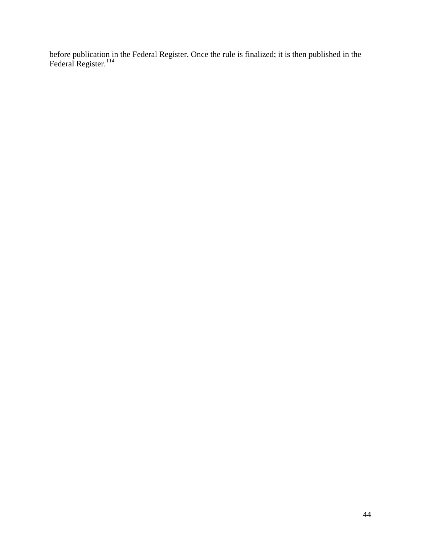before publication in the Federal Register. Once the rule is finalized; it is then published in the Federal Register.<sup>[114](#page-63-1)</sup>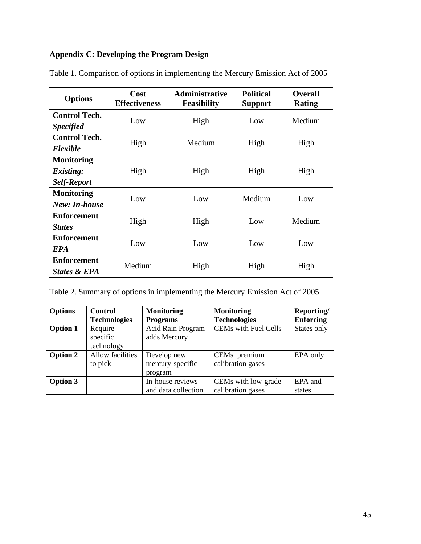# <span id="page-45-0"></span>**Appendix C: Developing the Program Design**

| <b>Options</b>                                              | Cost<br><b>Effectiveness</b> | <b>Administrative</b><br><b>Feasibility</b> | <b>Political</b><br><b>Support</b> | <b>Overall</b><br><b>Rating</b> |
|-------------------------------------------------------------|------------------------------|---------------------------------------------|------------------------------------|---------------------------------|
| <b>Control Tech.</b><br><b>Specified</b>                    | Low                          | High                                        | Low                                | Medium                          |
| <b>Control Tech.</b><br><b>Flexible</b>                     | High                         | Medium                                      | High                               | High                            |
| <b>Monitoring</b><br><i>Existing:</i><br><b>Self-Report</b> | High                         | High                                        | High                               | High                            |
| <b>Monitoring</b><br><b>New:</b> In-house                   | Low                          | Low                                         | Medium                             | Low                             |
| <b>Enforcement</b><br><b>States</b>                         | High                         | High                                        | Low                                | Medium                          |
| <b>Enforcement</b><br><b>EPA</b>                            | Low                          | Low                                         | Low                                | Low                             |
| <b>Enforcement</b><br>States & EPA                          | Medium                       | High                                        | High                               | High                            |

Table 1. Comparison of options in implementing the Mercury Emission Act of 2005

| Table 2. Summary of options in implementing the Mercury Emission Act of 2005 |  |
|------------------------------------------------------------------------------|--|
|------------------------------------------------------------------------------|--|

| <b>Options</b>  | <b>Control</b>      | <b>Monitoring</b>   | <b>Monitoring</b>           | Reporting/       |
|-----------------|---------------------|---------------------|-----------------------------|------------------|
|                 | <b>Technologies</b> | <b>Programs</b>     | <b>Technologies</b>         | <b>Enforcing</b> |
| <b>Option 1</b> | Require             | Acid Rain Program   | <b>CEMs</b> with Fuel Cells | States only      |
|                 | specific            | adds Mercury        |                             |                  |
|                 | technology          |                     |                             |                  |
| <b>Option 2</b> | Allow facilities    | Develop new         | CEMs premium                | EPA only         |
|                 | to pick             | mercury-specific    | calibration gases           |                  |
|                 |                     | program             |                             |                  |
| <b>Option 3</b> |                     | In-house reviews    | CEMs with low-grade         | EPA and          |
|                 |                     | and data collection | calibration gases           | states           |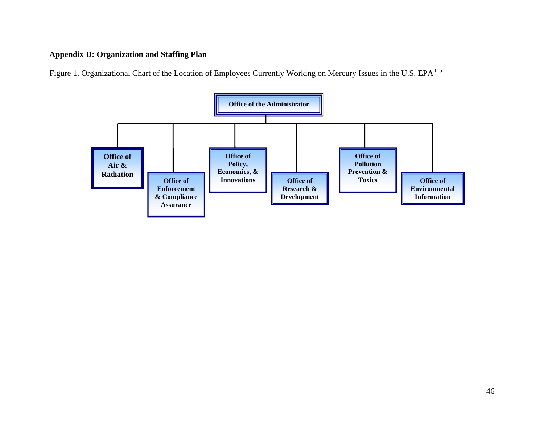# **Appendix D: Organization and Staffing Plan**

Figure 1. Organizational Chart of the Location of Employees Currently Working on Mercury Issues in the U.S. EPA<sup>[115](#page-63-2)</sup>

<span id="page-46-0"></span>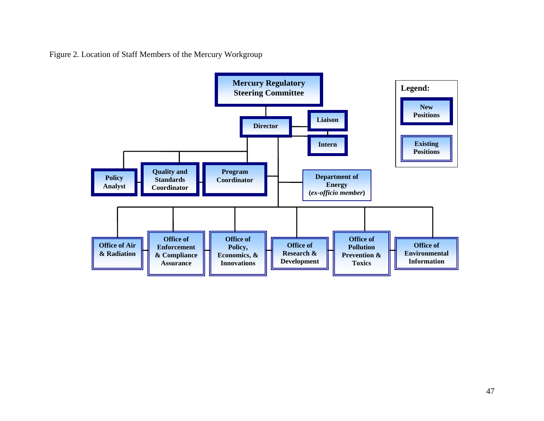Figure 2. Location of Staff Members of the Mercury Workgroup

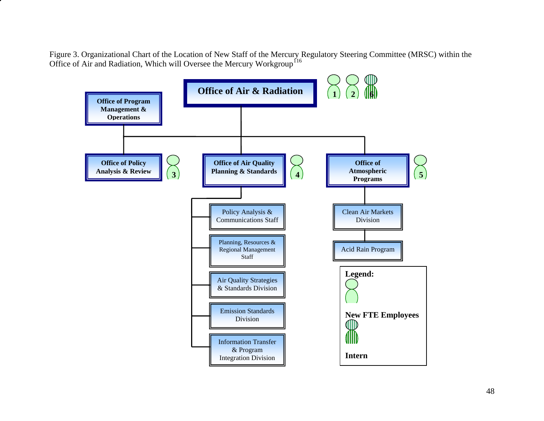Figure 3. Organizational Chart of the Location of New Staff of the Mercury Regulatory Steering Committee (MRSC) within the Office of Air and Radiation, Which will Oversee the Mercury Workgroup<sup>116</sup>

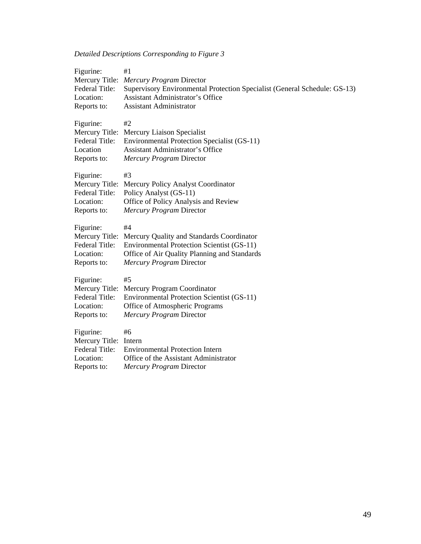# *Detailed Descriptions Corresponding to Figure 3*

| Figurine:<br>Mercury Title:<br>Federal Title:<br>Location:<br>Reports to:        | #1<br>Mercury Program Director<br>Supervisory Environmental Protection Specialist (General Schedule: GS-13)<br><b>Assistant Administrator's Office</b><br><b>Assistant Administrator</b> |
|----------------------------------------------------------------------------------|------------------------------------------------------------------------------------------------------------------------------------------------------------------------------------------|
| Figurine:<br>Federal Title:<br>Location<br>Reports to:                           | #2<br>Mercury Title: Mercury Liaison Specialist<br>Environmental Protection Specialist (GS-11)<br><b>Assistant Administrator's Office</b><br>Mercury Program Director                    |
| Figurine:<br>Mercury Title:<br>Federal Title:<br>Location:<br>Reports to:        | #3<br>Mercury Policy Analyst Coordinator<br>Policy Analyst (GS-11)<br>Office of Policy Analysis and Review<br>Mercury Program Director                                                   |
| Figurine:<br>Mercury Title:<br><b>Federal Title:</b><br>Location:<br>Reports to: | #4<br>Mercury Quality and Standards Coordinator<br><b>Environmental Protection Scientist (GS-11)</b><br>Office of Air Quality Planning and Standards<br>Mercury Program Director         |
| Figurine:<br>Mercury Title:<br>Federal Title:<br>Location:<br>Reports to:        | #5<br>Mercury Program Coordinator<br><b>Environmental Protection Scientist (GS-11)</b><br>Office of Atmospheric Programs<br>Mercury Program Director                                     |
| Figurine:<br>Mercury Title:<br><b>Federal Title:</b><br>Location:<br>Reports to: | #6<br>Intern<br><b>Environmental Protection Intern</b><br>Office of the Assistant Administrator<br>Mercury Program Director                                                              |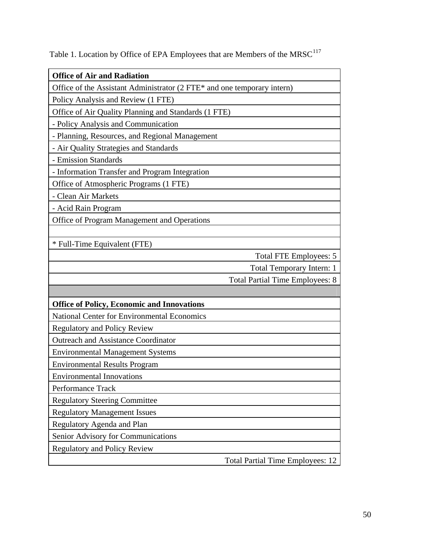| <b>Office of Air and Radiation</b>                                      |                                         |
|-------------------------------------------------------------------------|-----------------------------------------|
| Office of the Assistant Administrator (2 FTE* and one temporary intern) |                                         |
| Policy Analysis and Review (1 FTE)                                      |                                         |
| Office of Air Quality Planning and Standards (1 FTE)                    |                                         |
| - Policy Analysis and Communication                                     |                                         |
| - Planning, Resources, and Regional Management                          |                                         |
| - Air Quality Strategies and Standards                                  |                                         |
| - Emission Standards                                                    |                                         |
| - Information Transfer and Program Integration                          |                                         |
| Office of Atmospheric Programs (1 FTE)                                  |                                         |
| - Clean Air Markets                                                     |                                         |
| - Acid Rain Program                                                     |                                         |
| Office of Program Management and Operations                             |                                         |
|                                                                         |                                         |
| * Full-Time Equivalent (FTE)                                            |                                         |
|                                                                         | <b>Total FTE Employees: 5</b>           |
|                                                                         | <b>Total Temporary Intern: 1</b>        |
|                                                                         | <b>Total Partial Time Employees: 8</b>  |
|                                                                         |                                         |
| <b>Office of Policy, Economic and Innovations</b>                       |                                         |
| <b>National Center for Environmental Economics</b>                      |                                         |
| <b>Regulatory and Policy Review</b>                                     |                                         |
| <b>Outreach and Assistance Coordinator</b>                              |                                         |
| <b>Environmental Management Systems</b>                                 |                                         |
| <b>Environmental Results Program</b>                                    |                                         |
| <b>Environmental Innovations</b>                                        |                                         |
| Performance Track                                                       |                                         |
| <b>Regulatory Steering Committee</b>                                    |                                         |
| <b>Regulatory Management Issues</b>                                     |                                         |
| Regulatory Agenda and Plan                                              |                                         |
| Senior Advisory for Communications                                      |                                         |
| <b>Regulatory and Policy Review</b>                                     |                                         |
|                                                                         | <b>Total Partial Time Employees: 12</b> |

Table 1. Location by Office of EPA Employees that are Members of the  $MRSC^{117}$  $MRSC^{117}$  $MRSC^{117}$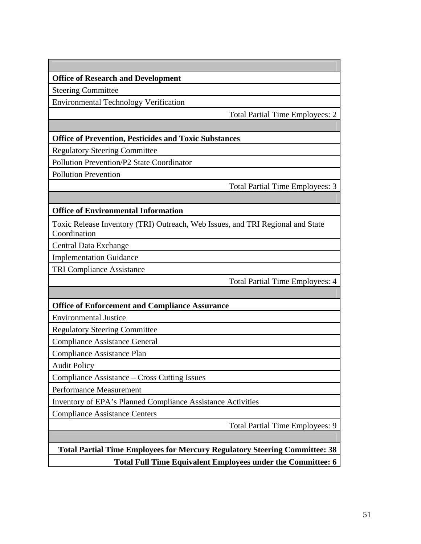**Office of Research and Development** 

Steering Committee

Environmental Technology Verification

Total Partial Time Employees: 2

#### **Office of Prevention, Pesticides and Toxic Substances**

Regulatory Steering Committee

Pollution Prevention/P2 State Coordinator

Pollution Prevention

Total Partial Time Employees: 3

#### **Office of Environmental Information**

Toxic Release Inventory (TRI) Outreach, Web Issues, and TRI Regional and State Coordination

Central Data Exchange

Implementation Guidance

TRI Compliance Assistance

Total Partial Time Employees: 4

#### **Office of Enforcement and Compliance Assurance**

Environmental Justice

Regulatory Steering Committee

Compliance Assistance General

Compliance Assistance Plan

Audit Policy

Compliance Assistance – Cross Cutting Issues

Performance Measurement

Inventory of EPA's Planned Compliance Assistance Activities

Compliance Assistance Centers

Total Partial Time Employees: 9

**Total Partial Time Employees for Mercury Regulatory Steering Committee: 38 Total Full Time Equivalent Employees under the Committee: 6**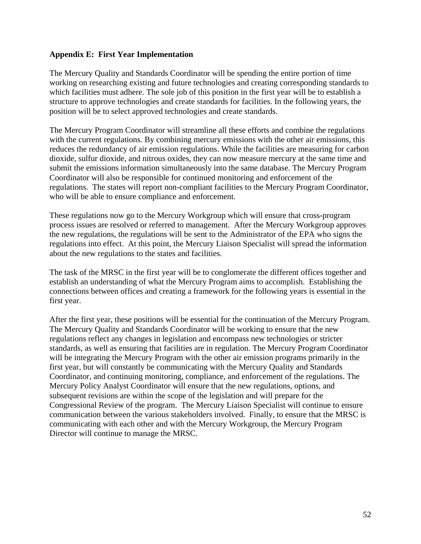#### <span id="page-52-0"></span>**Appendix E: First Year Implementation**

The Mercury Quality and Standards Coordinator will be spending the entire portion of time working on researching existing and future technologies and creating corresponding standards to which facilities must adhere. The sole job of this position in the first year will be to establish a structure to approve technologies and create standards for facilities. In the following years, the position will be to select approved technologies and create standards.

The Mercury Program Coordinator will streamline all these efforts and combine the regulations with the current regulations. By combining mercury emissions with the other air emissions, this reduces the redundancy of air emission regulations. While the facilities are measuring for carbon dioxide, sulfur dioxide, and nitrous oxides, they can now measure mercury at the same time and submit the emissions information simultaneously into the same database. The Mercury Program Coordinator will also be responsible for continued monitoring and enforcement of the regulations. The states will report non-compliant facilities to the Mercury Program Coordinator, who will be able to ensure compliance and enforcement.

These regulations now go to the Mercury Workgroup which will ensure that cross-program process issues are resolved or referred to management. After the Mercury Workgroup approves the new regulations, the regulations will be sent to the Administrator of the EPA who signs the regulations into effect. At this point, the Mercury Liaison Specialist will spread the information about the new regulations to the states and facilities.

The task of the MRSC in the first year will be to conglomerate the different offices together and establish an understanding of what the Mercury Program aims to accomplish. Establishing the connections between offices and creating a framework for the following years is essential in the first year.

After the first year, these positions will be essential for the continuation of the Mercury Program. The Mercury Quality and Standards Coordinator will be working to ensure that the new regulations reflect any changes in legislation and encompass new technologies or stricter standards, as well as ensuring that facilities are in regulation. The Mercury Program Coordinator will be integrating the Mercury Program with the other air emission programs primarily in the first year, but will constantly be communicating with the Mercury Quality and Standards Coordinator, and continuing monitoring, compliance, and enforcement of the regulations. The Mercury Policy Analyst Coordinator will ensure that the new regulations, options, and subsequent revisions are within the scope of the legislation and will prepare for the Congressional Review of the program. The Mercury Liaison Specialist will continue to ensure communication between the various stakeholders involved. Finally, to ensure that the MRSC is communicating with each other and with the Mercury Workgroup, the Mercury Program Director will continue to manage the MRSC.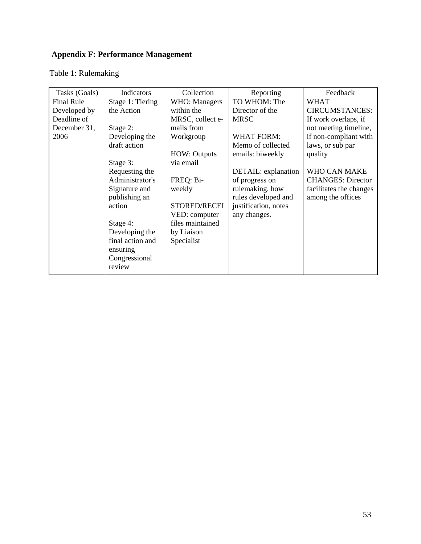# <span id="page-53-0"></span> **Appendix F: Performance Management**

# Table 1: Rulemaking

| Tasks (Goals)     | Indicators       | Collection            | Reporting            | Feedback                 |
|-------------------|------------------|-----------------------|----------------------|--------------------------|
| <b>Final Rule</b> | Stage 1: Tiering | <b>WHO</b> : Managers | TO WHOM: The         | WHAT                     |
| Developed by      | the Action       | within the            | Director of the      | <b>CIRCUMSTANCES:</b>    |
| Deadline of       |                  | MRSC, collect e-      | <b>MRSC</b>          | If work overlaps, if     |
| December 31,      | Stage 2:         | mails from            |                      | not meeting timeline,    |
| 2006              | Developing the   | Workgroup             | <b>WHAT FORM:</b>    | if non-compliant with    |
|                   | draft action     |                       | Memo of collected    | laws, or sub par         |
|                   |                  | <b>HOW: Outputs</b>   | emails: biweekly     | quality                  |
|                   | Stage 3:         | via email             |                      |                          |
|                   | Requesting the   |                       | DETAIL: explanation  | WHO CAN MAKE             |
|                   | Administrator's  | FREQ: Bi-             | of progress on       | <b>CHANGES: Director</b> |
|                   | Signature and    | weekly                | rulemaking, how      | facilitates the changes  |
|                   | publishing an    |                       | rules developed and  | among the offices        |
|                   | action           | STORED/RECEI          | justification, notes |                          |
|                   |                  | VED: computer         | any changes.         |                          |
|                   | Stage 4:         | files maintained      |                      |                          |
|                   | Developing the   | by Liaison            |                      |                          |
|                   | final action and | Specialist            |                      |                          |
|                   | ensuring         |                       |                      |                          |
|                   | Congressional    |                       |                      |                          |
|                   | review           |                       |                      |                          |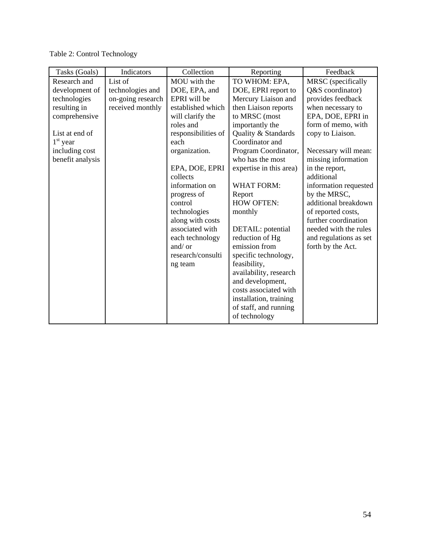Table 2: Control Technology

| Tasks (Goals)    | Indicators        | Collection          | Reporting               | Feedback               |
|------------------|-------------------|---------------------|-------------------------|------------------------|
| Research and     | List of           | MOU with the        | TO WHOM: EPA,           | MRSC (specifically     |
| development of   | technologies and  | DOE, EPA, and       | DOE, EPRI report to     | Q&S coordinator)       |
| technologies     | on-going research | EPRI will be        | Mercury Liaison and     | provides feedback      |
| resulting in     | received monthly  | established which   | then Liaison reports    | when necessary to      |
| comprehensive    |                   | will clarify the    | to MRSC (most           | EPA, DOE, EPRI in      |
|                  |                   | roles and           | importantly the         | form of memo, with     |
| List at end of   |                   | responsibilities of | Quality & Standards     | copy to Liaison.       |
| $1st$ year       |                   | each                | Coordinator and         |                        |
| including cost   |                   | organization.       | Program Coordinator,    | Necessary will mean:   |
| benefit analysis |                   |                     | who has the most        | missing information    |
|                  |                   | EPA, DOE, EPRI      | expertise in this area) | in the report,         |
|                  |                   | collects            |                         | additional             |
|                  |                   | information on      | <b>WHAT FORM:</b>       | information requested  |
|                  |                   | progress of         | Report                  | by the MRSC,           |
|                  |                   | control             | <b>HOW OFTEN:</b>       | additional breakdown   |
|                  |                   | technologies        | monthly                 | of reported costs,     |
|                  |                   | along with costs    |                         | further coordination   |
|                  |                   | associated with     | DETAIL: potential       | needed with the rules  |
|                  |                   | each technology     | reduction of Hg         | and regulations as set |
|                  |                   | and/or              | emission from           | forth by the Act.      |
|                  |                   | research/consulti   | specific technology,    |                        |
|                  |                   | ng team             | feasibility,            |                        |
|                  |                   |                     | availability, research  |                        |
|                  |                   |                     | and development,        |                        |
|                  |                   |                     | costs associated with   |                        |
|                  |                   |                     | installation, training  |                        |
|                  |                   |                     | of staff, and running   |                        |
|                  |                   |                     | of technology           |                        |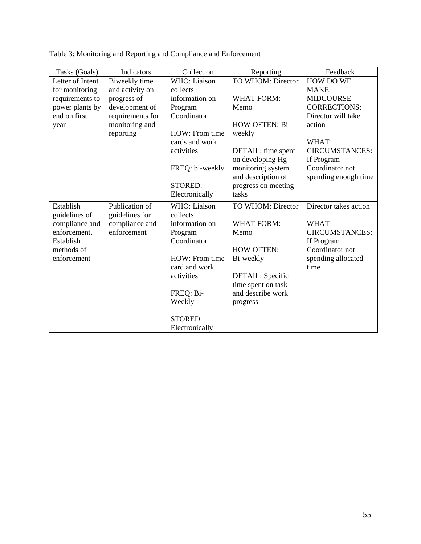| Tasks (Goals)    | Indicators       | Collection      | Reporting           | Feedback              |
|------------------|------------------|-----------------|---------------------|-----------------------|
| Letter of Intent | Biweekly time    | WHO: Liaison    | TO WHOM: Director   | <b>HOW DO WE</b>      |
| for monitoring   | and activity on  | collects        |                     | <b>MAKE</b>           |
| requirements to  | progress of      | information on  | <b>WHAT FORM:</b>   | <b>MIDCOURSE</b>      |
| power plants by  | development of   | Program         | Memo                | <b>CORRECTIONS:</b>   |
| end on first     | requirements for | Coordinator     |                     | Director will take    |
| year             | monitoring and   |                 | HOW OFTEN: Bi-      | action                |
|                  | reporting        | HOW: From time  | weekly              |                       |
|                  |                  | cards and work  |                     | <b>WHAT</b>           |
|                  |                  | activities      | DETAIL: time spent  | <b>CIRCUMSTANCES:</b> |
|                  |                  |                 | on developing Hg    | If Program            |
|                  |                  | FREQ: bi-weekly | monitoring system   | Coordinator not       |
|                  |                  |                 | and description of  | spending enough time  |
|                  |                  | <b>STORED:</b>  | progress on meeting |                       |
|                  |                  | Electronically  | tasks               |                       |
| Establish        | Publication of   | WHO: Liaison    | TO WHOM: Director   | Director takes action |
| guidelines of    | guidelines for   | collects        |                     |                       |
| compliance and   | compliance and   | information on  | <b>WHAT FORM:</b>   | <b>WHAT</b>           |
| enforcement,     | enforcement      | Program         | Memo                | <b>CIRCUMSTANCES:</b> |
| Establish        |                  | Coordinator     |                     | If Program            |
| methods of       |                  |                 | <b>HOW OFTEN:</b>   | Coordinator not       |
| enforcement      |                  | HOW: From time  | Bi-weekly           | spending allocated    |
|                  |                  | card and work   |                     | time                  |
|                  |                  | activities      | DETAIL: Specific    |                       |
|                  |                  |                 | time spent on task  |                       |
|                  |                  | FREQ: Bi-       | and describe work   |                       |
|                  |                  | Weekly          | progress            |                       |
|                  |                  |                 |                     |                       |
|                  |                  | <b>STORED:</b>  |                     |                       |
|                  |                  | Electronically  |                     |                       |

Table 3: Monitoring and Reporting and Compliance and Enforcement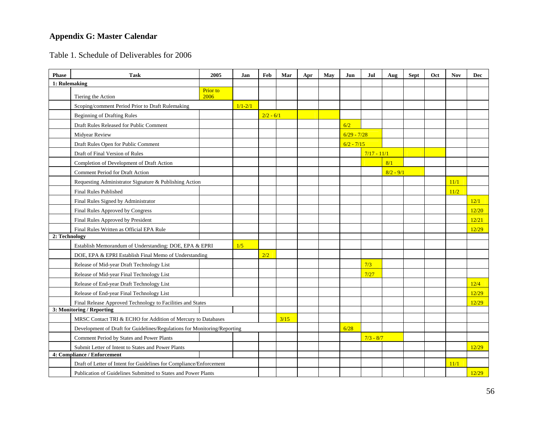# **Appendix G: Master Calendar**

Table 1. Schedule of Deliverables for 2006

<span id="page-56-0"></span>

| <b>Phase</b>  | <b>Task</b>                                                              | 2005             | Jan         | Feb         | Mar  | Apr | May | Jun           | Jul           | Aug         | <b>Sept</b> | Oct | <b>Nov</b> | Dec   |
|---------------|--------------------------------------------------------------------------|------------------|-------------|-------------|------|-----|-----|---------------|---------------|-------------|-------------|-----|------------|-------|
| 1: Rulemaking |                                                                          |                  |             |             |      |     |     |               |               |             |             |     |            |       |
|               | Tiering the Action                                                       | Prior to<br>2006 |             |             |      |     |     |               |               |             |             |     |            |       |
|               | Scoping/comment Period Prior to Draft Rulemaking                         |                  | $1/1 - 2/1$ |             |      |     |     |               |               |             |             |     |            |       |
|               | <b>Beginning of Drafting Rules</b>                                       |                  |             | $2/2 - 6/1$ |      |     |     |               |               |             |             |     |            |       |
|               | Draft Rules Released for Public Comment                                  |                  |             |             |      |     |     | 6/2           |               |             |             |     |            |       |
|               | Midyear Review                                                           |                  |             |             |      |     |     | $6/29 - 7/28$ |               |             |             |     |            |       |
|               | Draft Rules Open for Public Comment                                      |                  |             |             |      |     |     | $6/2 - 7/15$  |               |             |             |     |            |       |
|               | Draft of Final Version of Rules                                          |                  |             |             |      |     |     |               | $7/17 - 11/1$ |             |             |     |            |       |
|               | Completion of Development of Draft Action                                |                  |             |             |      |     |     |               |               | 8/1         |             |     |            |       |
|               | Comment Period for Draft Action                                          |                  |             |             |      |     |     |               |               | $8/2 - 9/1$ |             |     |            |       |
|               | Requesting Administrator Signature & Publishing Action                   |                  |             |             |      |     |     |               |               |             |             |     | 11/1       |       |
|               | <b>Final Rules Published</b>                                             |                  |             |             |      |     |     |               |               |             |             |     | 11/2       |       |
|               | Final Rules Signed by Administrator                                      |                  |             |             |      |     |     |               |               |             |             |     |            | 12/1  |
|               | Final Rules Approved by Congress                                         |                  |             |             |      |     |     |               |               |             |             |     |            | 12/20 |
|               | Final Rules Approved by President                                        |                  |             |             |      |     |     |               |               |             |             |     |            | 12/21 |
|               | Final Rules Written as Official EPA Rule                                 |                  |             |             |      |     |     |               |               |             |             |     |            | 12/29 |
| 2: Technology |                                                                          |                  |             |             |      |     |     |               |               |             |             |     |            |       |
|               | Establish Memorandum of Understanding: DOE, EPA & EPRI                   |                  | 1/5         |             |      |     |     |               |               |             |             |     |            |       |
|               | DOE, EPA & EPRI Establish Final Memo of Understanding                    |                  |             | 2/2         |      |     |     |               |               |             |             |     |            |       |
|               | Release of Mid-year Draft Technology List                                |                  |             |             |      |     |     |               | 7/3           |             |             |     |            |       |
|               | Release of Mid-year Final Technology List                                |                  |             |             |      |     |     |               | 7/27          |             |             |     |            |       |
|               | Release of End-year Draft Technology List                                |                  |             |             |      |     |     |               |               |             |             |     |            | 12/4  |
|               | Release of End-year Final Technology List                                |                  |             |             |      |     |     |               |               |             |             |     |            | 12/29 |
|               | Final Release Approved Technology to Facilities and States               |                  |             |             |      |     |     |               |               |             |             |     |            | 12/29 |
|               | 3: Monitoring / Reporting                                                |                  |             |             |      |     |     |               |               |             |             |     |            |       |
|               | MRSC Contact TRI & ECHO for Addition of Mercury to Databases             |                  |             |             | 3/15 |     |     |               |               |             |             |     |            |       |
|               | Development of Draft for Guidelines/Regulations for Monitoring/Reporting |                  |             |             |      |     |     | 6/28          |               |             |             |     |            |       |
|               | Comment Period by States and Power Plants                                |                  |             |             |      |     |     |               | $7/3 - 8/7$   |             |             |     |            |       |
|               | Submit Letter of Intent to States and Power Plants                       |                  |             |             |      |     |     |               |               |             |             |     |            | 12/29 |
|               | 4: Compliance / Enforcement                                              |                  |             |             |      |     |     |               |               |             |             |     |            |       |
|               | Draft of Letter of Intent for Guidelines for Compliance/Enforcement      |                  |             |             |      |     |     |               |               |             |             |     | 11/1       |       |
|               | Publication of Guidelines Submitted to States and Power Plants           |                  |             |             |      |     |     |               |               |             |             |     |            | 12/29 |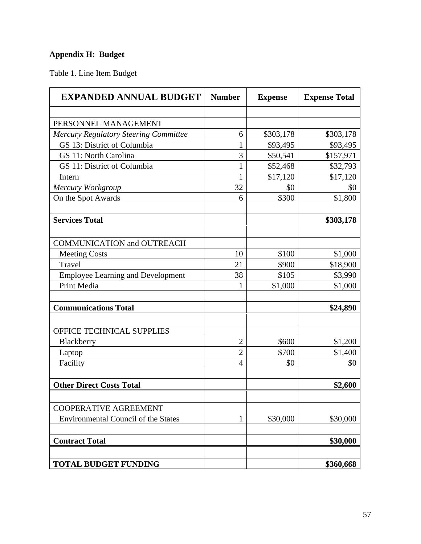# <span id="page-57-0"></span>**Appendix H: Budget**

Table 1. Line Item Budget

| <b>EXPANDED ANNUAL BUDGET</b>                | <b>Number</b>  | <b>Expense</b> | <b>Expense Total</b> |
|----------------------------------------------|----------------|----------------|----------------------|
|                                              |                |                |                      |
| PERSONNEL MANAGEMENT                         |                |                |                      |
| <b>Mercury Regulatory Steering Committee</b> | 6              | \$303,178      | \$303,178            |
| GS 13: District of Columbia                  | $\mathbf{1}$   | \$93,495       | \$93,495             |
| GS 11: North Carolina                        | 3              | \$50,541       | \$157,971            |
| GS 11: District of Columbia                  | 1              | \$52,468       | \$32,793             |
| Intern                                       | $\mathbf{1}$   | \$17,120       | \$17,120             |
| Mercury Workgroup                            | 32             | \$0            | \$0                  |
| On the Spot Awards                           | 6              | \$300          | \$1,800              |
| <b>Services Total</b>                        |                |                | \$303,178            |
|                                              |                |                |                      |
| <b>COMMUNICATION and OUTREACH</b>            |                |                |                      |
| <b>Meeting Costs</b>                         | 10             | \$100          | \$1,000              |
| Travel                                       | 21             | \$900          | \$18,900             |
| <b>Employee Learning and Development</b>     | 38             | \$105          | \$3,990              |
| Print Media                                  | 1              | \$1,000        | \$1,000              |
| <b>Communications Total</b>                  |                |                | \$24,890             |
| OFFICE TECHNICAL SUPPLIES                    |                |                |                      |
| Blackberry                                   | $\overline{2}$ | \$600          | \$1,200              |
| Laptop                                       | $\overline{c}$ | \$700          | \$1,400              |
| Facility                                     | 4              | \$0            | \$0                  |
| <b>Other Direct Costs Total</b>              |                |                | \$2,600              |
| <b>COOPERATIVE AGREEMENT</b>                 |                |                |                      |
| <b>Environmental Council of the States</b>   | 1              | \$30,000       | \$30,000             |
| <b>Contract Total</b>                        |                |                | \$30,000             |
| <b>TOTAL BUDGET FUNDING</b>                  |                |                | \$360,668            |
|                                              |                |                |                      |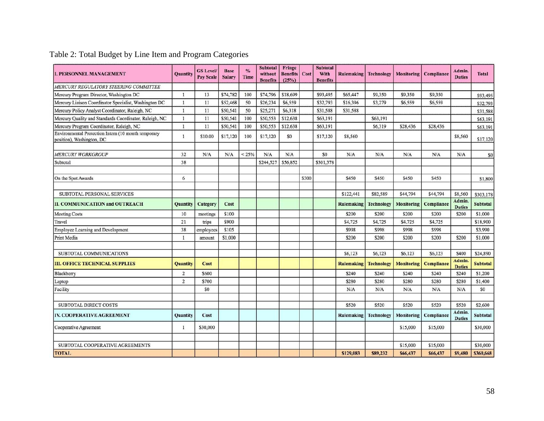| <b>I. PERSONNEL MANAGEMENT</b>                                                   | Quantity        | <b>GS Level/</b><br><b>Pay Scale</b> | <b>Base</b><br><b>Salary</b> | $\frac{0}{6}$<br>Time | <b>Subtotal</b><br>without<br><b>Benefits</b> | Fringe<br><b>Benefits</b><br>(25%) | Cost  | <b>Subtotal</b><br>With<br><b>Benefits</b> | <b>Rulemaking</b> | <b>Technology</b> | <b>Monitoring</b> | Compliance        | Admin.<br><b>Duties</b> | <b>Total</b>    |
|----------------------------------------------------------------------------------|-----------------|--------------------------------------|------------------------------|-----------------------|-----------------------------------------------|------------------------------------|-------|--------------------------------------------|-------------------|-------------------|-------------------|-------------------|-------------------------|-----------------|
| MERCURY REGULATORY STEERING COMMITTEE                                            |                 |                                      |                              |                       |                                               |                                    |       |                                            |                   |                   |                   |                   |                         |                 |
| Mercury Program Director, Washington DC                                          | $\mathbf{1}$    | 13                                   | \$74,782                     | 100                   | \$74,796                                      | \$18,699                           |       | \$93,495                                   | \$65,447          | \$9,350           | \$9,350           | \$9,350           |                         | \$93,495        |
| Mercury Liaison Coordinator Specialist, Washington DC                            | $\mathbf{1}$    | 11                                   | \$52,468                     | 50                    | \$26,234                                      | \$6,559                            |       | \$32,793                                   | \$16,396          | \$3,279           | \$6,559           | \$6,559           |                         | \$32,793        |
| Mercury Policy Analyst Coordinator, Raleigh, NC                                  | $\mathbf{I}$    | 11                                   | \$50,541                     | 50                    | \$25,271                                      | \$6,318                            |       | \$31,588                                   | \$31,588          |                   |                   |                   |                         | \$31,588        |
| Mercury Quality and Standards Coordinator, Raleigh, NC                           | 1               | 11                                   | \$50,541                     | 100                   | \$50,553                                      | \$12,638                           |       | \$63,191                                   |                   | \$63,191          |                   |                   |                         | \$63,191        |
| Mercury Program Coordinator, Raleigh, NC                                         | 1               | 11                                   | \$50,541                     | 100                   | \$50,553                                      | \$12,638                           |       | \$63,191                                   |                   | \$6,319           | \$28,436          | \$28,436          |                         | \$63,191        |
| Environmental Protection Intern (10 month temporary<br>position), Washington, DC | 1               | \$10.00                              | \$17,120                     | 100                   | \$17,120                                      | \$0                                |       | \$17,120                                   | \$8,560           |                   |                   |                   | \$8,560                 | \$17,120        |
| <b>MERCURY WORKGROUP</b>                                                         | 32              | N/A                                  | N/A                          | < 25%                 | N/A                                           | N/A                                |       | \$0                                        | N/A               | N/A               | N/A               | N/A               | N/A                     | S <sub>0</sub>  |
| Subtotal                                                                         | 38              |                                      |                              |                       | \$244,527                                     | \$56,852                           |       | \$301,378                                  |                   |                   |                   |                   |                         |                 |
| On the Spot Awards                                                               | 6               |                                      |                              |                       |                                               |                                    | \$300 |                                            | \$450             | \$450             | \$450             | \$450             |                         | \$1,800         |
| SUBTOTAL PERSONAL SERVICES                                                       |                 |                                      |                              |                       |                                               |                                    |       |                                            | \$122,441         | \$82,589          | \$44,794          | \$44,794          | \$8,560                 | \$303,178       |
| <b>II. COMMUNICATION and OUTREACH</b>                                            | <b>Quantity</b> | Category                             | Cost                         |                       |                                               |                                    |       |                                            | <b>Rulemaking</b> | Technology        | <b>Monitoring</b> | Compliance        | Admin.<br><b>Duties</b> | <b>Subtotal</b> |
| <b>Meeting Costs</b>                                                             | 10              | meetings                             | \$100                        |                       |                                               |                                    |       |                                            | \$200             | \$200             | \$200             | \$200             | \$200                   | \$1,000         |
| Travel                                                                           | 21              | trips                                | \$900                        |                       |                                               |                                    |       |                                            | \$4,725           | \$4,725           | \$4,725           | \$4,725           |                         | \$18,900        |
| Employee Learning and Development                                                | 38              | employees                            | \$105                        |                       |                                               |                                    |       |                                            | \$998             | \$998             | \$998             | \$998             |                         | \$3,990         |
| Print Media                                                                      | 1               | amount                               | \$1,000                      |                       |                                               |                                    |       |                                            | \$200             | \$200             | \$200             | \$200             | \$200                   | \$1,000         |
| SUBTOTAL COMMUNICATIONS                                                          |                 |                                      |                              |                       |                                               |                                    |       |                                            | \$6,123           | S6,123            | \$6,123           | S6,123            | \$400                   | \$24,890        |
| <b>III. OFFICE TECHNICAL SUPPLIES</b>                                            | <b>Quantity</b> | Cost                                 |                              |                       |                                               |                                    |       |                                            | <b>Rulemaking</b> | <b>Technology</b> | <b>Monitoring</b> | <b>Compliance</b> | Admin.<br><b>Duties</b> | <b>Subtotal</b> |
| Blackberry                                                                       | $\overline{2}$  | \$600                                |                              |                       |                                               |                                    |       |                                            | \$240             | \$240             | \$240             | \$240             | \$240                   | \$1,200         |
| Laptop                                                                           | $\overline{2}$  | \$700                                |                              |                       |                                               |                                    |       |                                            | \$280             | \$280             | \$280             | \$280             | \$280                   | \$1,400         |
| Facility                                                                         |                 | S <sub>0</sub>                       |                              |                       |                                               |                                    |       |                                            | N/A               | N/A               | N/A               | N/A               | N/A                     | \$0             |
| <b>SUBTOTAL DIRECT COSTS</b>                                                     |                 |                                      |                              |                       |                                               |                                    |       |                                            | \$520             | \$520             | \$520             | \$520             | \$520                   | \$2,600         |
| IV. COOPERATIVE AGREEMENT                                                        | <b>Quantity</b> | Cost                                 |                              |                       |                                               |                                    |       |                                            | <b>Rulemaking</b> | <b>Technology</b> | <b>Monitoring</b> | Compliance        | Admin.<br><b>Duties</b> | <b>Subtotal</b> |
| Cooperative Agreement                                                            | 1               | \$30,000                             |                              |                       |                                               |                                    |       |                                            |                   |                   | \$15,000          | \$15,000          |                         | \$30,000        |
|                                                                                  |                 |                                      |                              |                       |                                               |                                    |       |                                            |                   |                   |                   |                   |                         |                 |
| SUBTOTAL COOPERATIVE AGREEMENTS                                                  |                 |                                      |                              |                       |                                               |                                    |       |                                            |                   |                   | \$15,000          | \$15,000          |                         | \$30,000        |
| <b>TOTAL</b>                                                                     |                 |                                      |                              |                       |                                               |                                    |       |                                            | \$129,083         | \$89,232          | \$66,437          | \$66,437          | \$9,480                 | \$360,668       |

# Table 2: Total Budget by Line Item and Program Categories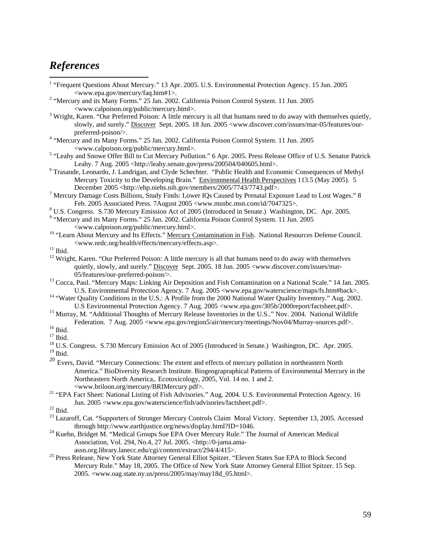# <span id="page-59-0"></span>*References*

 $\overline{a}$ 

- <sup>1</sup> "Frequent Questions About Mercury." 13 Apr. 2005. U.S. Environmental Protection Agency. 15 Jun. 2005
- <www.epa.gov/mercury/faq.htm#1>. 2 "Mercury and its Many Forms." 25 Jan. 2002. California Poison Control System. 11 Jun. 2005 <[www.calpoison.org/public/mercury.html>](http://www.calpoison.org/public/mercury.html). 3
- <sup>3</sup> Wright, Karen. "Our Preferred Poison: A little mercury is all that humans need to do away with themselves quietly, slowly, and surely." Discover Sept. 2005. 18 Jun. 2005 <www.discover.com/issues/mar-05/features/our-
- preferred-poison/>.<br>
<sup>4</sup> "Mercury and its Many Forms." 25 Jan. 2002. California Poison Control System. 11 Jun. 2005 <[www.calpoison.org/public/mercury.html>](http://www.calpoison.org/public/mercury.html). 5
- <sup>5</sup> "Leahy and Snowe Offer Bill to Cut Mercury Pollution." 6 Apr. 2005. Press Release Office of U.S. Senator Patrick Leahy. 7 Aug. 2005 <http://leahy.senate.gov/press/200504/040605.html>.
- Trasande, Leonardo, J. Landrigan, and Clyde Schechter. "Public Health and Economic Consequences of Methyl Mercury Toxicity to the Developing Brain." Environmental Health Perspectives 113.5 (May 2005). 5 December 2005 <<http://ehp.niehs.nih.gov/members/2005/7743/7743.pdf>>.
- Mercury Damage Costs Billions, Study Finds: Lower IQs Caused by Prenatal Exposure Lead to Lost Wages." 8 Feb. 2005 Associated Press. 7August 2005 <www.msnbc.msn.com/id/7047325>.
- U.S. Congress. S.730 Mercury Emission Act of 2005 (Introduced in Senate.) Washington, DC. Apr. 2005.
- <sup>9</sup> "Mercury and its Many Forms." 25 Jan. 2002. California Poison Control System. 11 Jun. 2005
- <[www.calpoison.org/public/mercury.html>](http://www.calpoison.org/public/mercury.html). 10 "Learn About Mercury and Its Effects." Mercury Contamination in Fish. National Resources Defense Council.  $$\sf <$www.nrdc.org/health/effects/mercury/effects.asp>$.$  $$\sf <$www.nrdc.org/health/effects/mercury/effects.asp>$.$  $$\sf <$www.nrdc.org/health/effects/mercury/effects.asp>$.$   $^{11}$  Ibid.
- 
- <sup>12</sup> Wright, Karen. "Our Preferred Poison: A little mercury is all that humans need to do away with themselves quietly, slowly, and surely." Discover Sept. 2005. 18 Jun. 2005 <www.discover.com/issues/mar-
- 05/features/our-preferred-poison/>.<br><sup>13</sup> Cocca, Paul. "Mercury Maps: Linking Air Deposition and Fish Contamination on a National Scale." 14 Jan. 2005.
- U.S. Environmental Protection Agency. 7 Aug. 2005 <www.epa.gov/waterscience/maps/fs.htm#back>. 14 "Water Quality Conditions in the U.S.: A Profile from the 2000 National Water Quality Inventory." Aug. 2002.
- U.S Environmental Protection Agency. 7 Aug. 2005 <www.epa.gov/305b/2000report/factsheet.pdf>.<br>
<sup>15</sup> Murray, M. "Additional Thoughts of Mercury Release Inventories in the U.S.." Nov. 2004. National Wildlife Federation. 7 Aug. 2005 <www.epa.gov/region5/air/mercury/meetings/Nov04/Murray-sources.pdf>. 16 Ibid.

 $^{19}$  Ibid.  $\,$ 

- <sup>20</sup> Evers, David. "Mercury Connections: The extent and effects of mercury pollution in northeastern North America." BioDiversity Research Institute. Biogeograpraphical Patterns of Environmental Mercury in the Northeastern North America,. Ecotoxicology, 2005, Vol. 14 no. 1 and 2.
- <[www.briloon.org/mercury/BRIMercury.pdf](http://www.briloon.org/mercury/BRIMercury.pdf)>. 21 "EPA Fact Sheet: National Listing of Fish Advisories." Aug. 2004. U.S. Environmental Protection Agency. 16 Jun. 2005 [<www.epa.gov/waterscience/fish/advisories/factsheet.pdf](http://www.epa.gov/waterscience/fish/advisories/factsheet.pdf)>. 22 Ibid.
- 
- <sup>23</sup> Lazaroff, Cat. "Supporters of Stronger Mercury Controls Claim Moral Victory. September 13, 2005. Accessed through <http://www.earthjustice.org/news/display.html?ID=1046>. 24 Kuehn, Bridget M. "Medical Groups Sue EPA Over Mercury Rule." The Journal of American Medical
- Association, Vol. 294, No.4, 27 Jul. 2005. <[http://0-jama.ama-](http://0-jama.ama-assn.org.library.lanecc.edu/cgi/content/extract/294/4/415)
- [assn.org.library.lanecc.edu/cgi/content/extract/294/4/415>](http://0-jama.ama-assn.org.library.lanecc.edu/cgi/content/extract/294/4/415). 25 Press [Release, New York State Attorney General Elliot Spitzer.](http://0-jama.ama-assn.org.library.lanecc.edu/cgi/content/extract/294/4/415) "Eleven States Sue EPA to Block Second Mercury Rule." May 18, 2005. The Office of New York State Attorney General Elliot Spitzer. 15 Sep. 2005. <www.oag.state.ny.us/press/2005/may/may18d\_05.html>.

 $17$  Ibid.

<sup>&</sup>lt;sup>18</sup> U.S. Congress. S.730 Mercury Emission Act of 2005 (Introduced in Senate.) Washington, DC. Apr. 2005.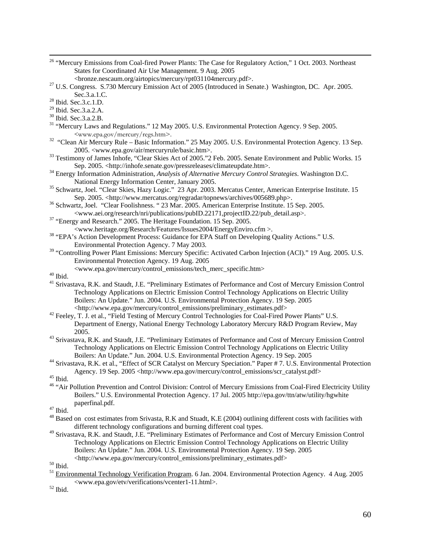<sup>26</sup> "Mercury Emissions from Coal-fired Power Plants: The Case for Regulatory Action," 1 Oct. 2003. Northeast States for Coordinated Air Use Management. 9 Aug. 2005

<[bronze.nescaum.org/airtopics/mercury/rpt031104mercury.pdf>](http://bronze.nescaum.org/airtopics/mercury/rpt031104mercury.pdf). 27 U.S. Congress. S.730 Mercury Emission Act of 2005 (Introduced in Senate.) Washington, DC. Apr. 2005. Sec.3.a.1.C.<br><sup>28</sup> Ibid. Sec.3.c.1.D.

29 Ibid. Sec.3.a.2.A.

- 30 Ibid. Sec.3.a.2.B.
- <sup>31</sup> "Mercury Laws and Regulations." 12 May 2005. U.S. Environmental Protection Agency. 9 Sep. 2005.
- <sup>&</sup>lt;www.epa.gov/mercury/regs.htm>. 32 "Clean Air Mercury Rule Basic Information." 25 May 2005. U.S. Environmental Protection Agency. 13 Sep. 2005. <www.epa.gov/air/mercuryrule/basic.htm>.<br><sup>33</sup> Testimony of James Inhofe, "Clear Skies Act of 2005." 2 Feb. 2005. Senate Environment and Public Works. 15
- 
- Sep. 2005. <http://inhofe.senate.gov/pressreleases/climateupdate.htm>.<br><sup>34</sup> Energy Information Administration, *Analysis of Alternative Mercury Control Strategies*. Washington D.C.<br>National Energy Information Center, Janua
- <sup>35</sup> Schwartz, Joel. "Clear Skies, Hazy Logic." 23 Apr. 2003. Mercatus Center, American Enterprise Institute. 15 Sep. 2005. <http://www.mercatus.org/regradar/topnews/archives/005689.php>.
- <sup>36</sup> Schwartz, Joel. "Clear Foolishness. " 23 Mar. 2005. American Enterprise Institute. 15 Sep. 2005. <www.aei.org/research/nri/publications/pubID.22171,projectID.22/pub\_detail.asp>. 37 "Energy and Research." 2005. The Heritage Foundation. 15 Sep. 2005.
- -
- [<www.heritage.org/Research/Features/Issues2004/EnergyEnviro.cfm](http://www.heritage.org/Research/Features/Issues2004/EnergyEnviro.cfm) >. 38 "EPA's Action Development Process: Guidance for EPA Staff on Developing Quality Actions." U.S. Environmental Protection Agency. 7 May 2003.
- <sup>39</sup> "Controlling Power Plant Emissions: Mercury Specific: Activated Carbon Injection (ACI)." 19 Aug. 2005. U.S. Environmental Protection Agency. 19 Aug. 2005
- $\leq$ [www.epa.gov/mercury/control\\_emissions/tech\\_merc\\_specific.htm](http://www.epa.gov/mercury/control_emissions/tech_merc_specific.htm)>  $^{40}$  Ibid.
- 
- 41 Srivastava, R.K. and Staudt, J.E. "Preliminary Estimates of Performance and Cost of Mercury Emission Control Technology Applications on Electric Emission Control Technology Applications on Electric Utility Boilers: An Update." Jun. 2004. U.S. Environmental Protection Agency. 19 Sep. 2005
- <http://www.epa.gov/mercury/control\_emissions/preliminary\_estimates.pdf> 42 Feeley, T. J. et al., "Field Testing of Mercury Control Technologies for Coal-Fired Power Plants" U.S. Department of Energy, National Energy Technology Laboratory Mercury R&D Program Review, May 2005. 43 Srivastava, R.K. and Staudt, J.E. "Preliminary Estimates of Performance and Cost of Mercury Emission Control
- Technology Applications on Electric Emission Control Technology Applications on Electric Utility
- <sup>44</sup> Srivastava, R.K. et al., "Effect of SCR Catalyst on Mercury Speciation." Paper # 7. U.S. Environmental Protection Agency. 19 Sep. 2005 <http://www.epa.gov/mercury/control\_emissions/scr\_catalyst.pdf> 45 Ibid.
- 
- <sup>46</sup> "Air Pollution Prevention and Control Division: Control of Mercury Emissions from Coal-Fired Electricity Utility Boilers." U.S. Environmental Protection Agency. 17 Jul. 2005 [http://epa.gov/ttn/atw/utility/hgwhite](http://epa.gov/ttn/atw/utility/hgwhite%20paperfinal.pdf)  [paperfinal.pdf](http://epa.gov/ttn/atw/utility/hgwhite%20paperfinal.pdf). 47 Ibid.
- 
- <sup>48</sup> Based on cost estimates from Srivasta, R.K and Stuadt, K.E (2004) outlining different costs with facilities with different technology configurations and burning different coal types.
- 49 Srivastava, R.K. and Staudt, J.E. "Preliminary Estimates of Performance and Cost of Mercury Emission Control Technology Applications on Electric Emission Control Technology Applications on Electric Utility Boilers: An Update." Jun. 2004. U.S. Environmental Protection Agency. 19 Sep. 2005  $^{50}$  Ibid.  $^{\rm 50}$  Ibid.
- 
- <sup>51</sup> Environmental Technology Verification Program. 6 Jan. 2004. Environmental Protection Agency. 4 Aug. 2005  $\leq$ www.epa.gov/etv/verifications/vcenter1-11.html>.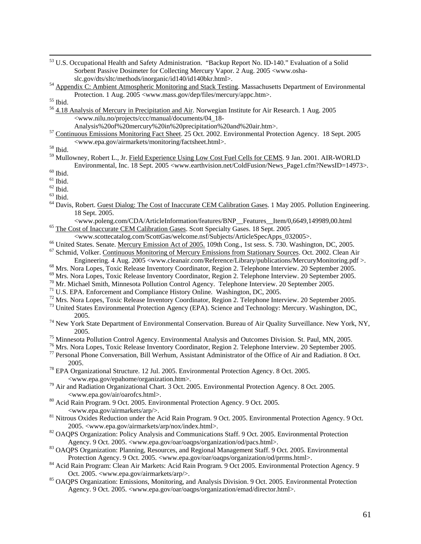- 53 U.S. Occupational Health and Safety Administration. "Backup Report No. ID-140." Evaluation of a Solid Sorbent Passive Dosimeter for Collecting Mercury Vapor. 2 Aug. 2005 <www.oshaslc.gov/dts/sltc/methods/inorganic/id140/id140bkr.html>. 54 Appendix C: Ambient Atmospheric Monitoring and Stack Testing. Massachusetts Department of Environmental
- Protection. 1 Aug. 2005 <www.mass.gov/dep/files/mercury/appc.htm>. 55 Ibid.
- <sup>56</sup> 4.18 Analysis of Mercury in Precipitation and Air. Norwegian Institute for Air Research. 1 Aug. 2005 <www.nilu.no/projects/ccc/manual/documents/04\_18-
	-
- <sup>57</sup> Continuous Emissions Monitoring Fact Sheet. 25 Oct. 2002. Environmental Protection Agency. 18 Sept. 2005  $$\textrm{\texttt{38}}$$  Ibid.

59 Mullowney, Robert L., Jr. Field Experience Using Low Cost Fuel Cells for CEMS. 9 Jan. 2001. AIR-WORLD Environmental, Inc. 18 Sept. 2005 <www.earthvision.net/ColdFusion/News\_Page1.cfm?NewsID=14973>. 60 Ibid.

- $^{\rm 61}$  Ibid.
- $^{62}$  Ibid.
- $^{63}$  Ibid.
- <sup>64</sup> Davis, Robert. Guest Dialog: The Cost of Inaccurate CEM Calibration Gases. 1 May 2005. Pollution Engineering. 18 Sept. 2005.<br>
<www.poleng.com/CDA/ArticleInformation/features/BNP Features Item/0.6649.149989.00.html
	-
- <sup>65</sup> The Cost of Inaccurate CEM Calibration Gases. Scott Specialty Gases. 18 Sept. 2005<br>
<www.scottecatalog.com/ScottGas/welcome.nsf/Subjects/ArticleSpecApps 032005>.
- 
- <sup>66</sup> United States. Senate. <u>Mercury Emission Act of 2005.</u> 109th Cong., 1st sess. S. 730. Washington, DC, 2005.<br><sup>67</sup> Schmid, Volker. <u>Continuous Monitoring of Mercury Emissions from Stationary Sources</u>. Oct. 2002. Clean
- <sup>68</sup> Mrs. Nora Lopes, Toxic Release Inventory Coordinator, Region 2. Telephone Interview. 20 September 2005.
- 
- $^{69}$  Mrs. Nora Lopes, Toxic Release Inventory Coordinator, Region 2. Telephone Interview. 20 September 2005.<br><sup>70</sup> Mr. Michael Smith, Minnesota Pollution Control Agency. Telephone Interview. 20 September 2005.
- 
- 
- <sup>71</sup> U.S. EPA. Enforcement and Compliance History Online. Washington, DC, 2005.<br><sup>72</sup> Mrs. Nora Lopes, Toxic Release Inventory Coordinator, Region 2. Telephone Interview. 20 September 2005.
- 73 United States Environmental Protection Agency (EPA). Science and Technology: Mercury. Washington, DC, 2005. 74 New York State Department of Environmental Conservation. Bureau of Air Quality Surveillance. New York, NY,
- 2005. 75 Minnesota Pollution Control Agency. Environmental Analysis and Outcomes Division. St. Paul, MN, 2005.
- 
- 76 Mrs. Nora Lopes, Toxic Release Inventory Coordinator, Region 2. Telephone Interview. 20 September 2005.
- <sup>77</sup> Personal Phone Conversation, Bill Werhum, Assistant Administrator of the Office of Air and Radiation. 8 Oct. 2005. 78 EPA Organizational Structure. 12 Jul. 2005. Environmental Protection Agency. 8 Oct. 2005.
- 
- <www.epa.gov/epahome/organization.htm>. 79 Air and Radiation Organizational Chart. 3 Oct. 2005. Environmental Protection Agency. 8 Oct. 2005. <www.epa.gov/air/oarofcs.html>. 80 Acid Rain Program. 9 Oct. 2005. Environmental Protection Agency. 9 Oct. 2005.
- 
- <[www.epa.gov/airmarkets/arp/>](http://www.epa.gov/airmarkets/arp/). 81 Nitrous Oxides Reduction under the Acid Rain Program. 9 Oct. 2005. Environmental Protection Agency. 9 Oct.
- 2005. <[www.epa.gov/airmarkets/arp/nox/index.html](http://www.epa.gov/airmarkets/arp/nox/index.html)>.<br><sup>82</sup> OAQPS Organization: Policy Analysis and Communications Staff. 9 Oct. 2005. Environmental Protection Agency. 9 Oct. 2005. <www.epa.gov/oar/oaqps/organization/od/pacs.h
- <sup>83</sup> OAQPS Organization: Planning, Resources, and Regional Management Staff. 9 Oct. 2005. Environmental Protection Agency. 9 Oct. 2005. <www.epa.gov/oar/oaqps/organization/od/prrms.html>.
- <sup>84</sup> Acid Rain Program: Clean Air Markets: Acid Rain Program. 9 Oct 2005. Environmental Protection Agency. 9 Oct. 2005. [<www.epa.gov/airmarkets/arp/>](http://www.epa.gov/airmarkets/arp/).<br><sup>85</sup> OAQPS Organization: Emissions, Monitoring, and Analysis Division. 9 Oct. 2005. Environmental Protection
- Agency. 9 Oct. 2005. <[www.epa.gov/oar/oaqps/organization/emad/director.html>](http://www.epa.gov/oar/oaqps/organization/emad/director.html).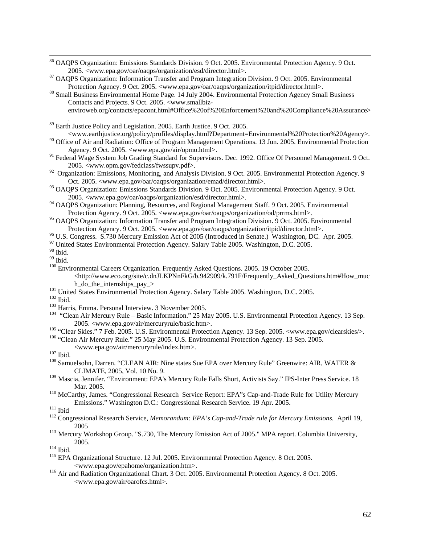86 OAQPS Organization: Emissions Standards Division. 9 Oct. 2005. Environmental Protection Agency. 9 Oct.

2005. <[www.epa.gov/oar/oaqps/organization/esd/director.html](http://www.epa.gov/oar/oaqps/organization/esd/director.html)>. 87 OAQPS Or[ganization: Information Transfer and Program Integratio](http://www.epa.gov/oar/oaqps/organization/esd/director.html)n Division. 9 Oct. 2005. Environmental Protection Agency. 9 Oct. 2005. [<www.epa.gov/oar/oaqps/organization/itpid/director.html](http://www.epa.gov/oar/oaqps/organization/itpid/director.html)>. 88 Small Business Environmental Home [Page. 14 July 2004. Environmental Protection Agency Sm](http://www.epa.gov/oar/oaqps/organization/itpid/director.html)all Business

Contacts and Projects. 9 Oct. 2005. [<www.smallbiz](http://www.smallbiz-enviroweb.org/contacts/epacont.html#Office%20of%20Enforcement%20and%20Compliance%20Assurance)[enviroweb.org/contacts/epacont.html#Office%20of%20Enforcement%20and%20Compliance%20Assurance>](http://www.smallbiz-enviroweb.org/contacts/epacont.html#Office%20of%20Enforcement%20and%20Compliance%20Assurance)

. 89 Earth Justice Policy and Legislation. 2005. Earth Justice. 9 Oct. 2005.

<[www.earthjustice.org/policy/profiles/display.html?Department=Environmental%20Protection%20Agency>](http://www.earthjustice.org/policy/profiles/display.html?Department=Environmental%20Protection%20Agency).

<sup>90</sup> Office of Air and Radiation: Office of Program Management Operations. 13 Jun. 2005. Environmental Protection Agency. 9 Oct. 2005. <[www.epa.gov/air/opmo.html>](http://www.epa.gov/air/opmo.html).

<sup>91</sup> Federal Wage System Job Grading Standard for Supervisors. Dec. 1992. Office Of Personnel Management. 9 Oct. 2005. <[www.opm.gov/fedclass/fwssupv.pdf](http://www.opm.gov/fedclass/fwssupv.pdf)>.

- <sup>92</sup> Organization: Emissions, Monitoring, and Analysis Division. 9 Oct. 2005. Environmental Protection Agency. 9 Oct. 2005. [<www.epa.gov/oar/oaqps/organization/emad/director.html](http://www.epa.gov/oar/oaqps/organization/emad/director.html)>.
- 93 OAQPS Organization: Emissions Standards Division. 9 Oct. 2005. Environmental Protection Agency. 9 Oct. 2005. <[www.epa.gov/oar/oaqps/organization/esd/director.html](http://www.epa.gov/oar/oaqps/organization/esd/director.html)>.
- <sup>94</sup> OAQPS Organization: Planning, Resources, and Regional Management Staff. 9 Oct. 2005. Environmental Protection Agency. 9 Oct. 2005. [<www.epa.gov/oar/oaqps/organization/od/prrms.html>](http://www.epa.gov/oar/oaqps/organization/od/prrms.html).
- <sup>95</sup> OAQPS Organization: Information Transfer and Program Integration Division. 9 Oct. 2005. Environmental

Protection Agency. 9 Oct. 2005. [<www.epa.gov/oar/oaqps/organization/itpid/director.html](http://www.epa.gov/oar/oaqps/organization/itpid/director.html)>. 96 U.S. Congress. S.730 Mercury Emissi[on Act of 2005 \(Introduced in Senate.\) Washington, DC](http://www.epa.gov/oar/oaqps/organization/itpid/director.html). Apr. 2005.

<sup>97</sup> United States Environmental Protection Agency. Salary Table 2005. Washington, D.C. 2005.

 $^{\rm 98}$  Ibid.

 $^{99}$  Ibid.

<sup>100</sup> Environmental Careers Organization. Frequently Asked Questions. 2005. 19 October 2005. <[http://www.eco.org/site/c.dnJLKPNnFkG/b.942909/k.791F/Frequently\\_Asked\\_Questions.htm#How\\_muc](http://www.eco.org/site/c.dnJLKPNnFkG/b.942909/k.791F/Frequently_Asked_Questions.htm#How_much_do_the_internships_pay_) [h\\_do\\_the\\_internships\\_pay\\_>](http://www.eco.org/site/c.dnJLKPNnFkG/b.942909/k.791F/Frequently_Asked_Questions.htm#How_much_do_the_internships_pay_)<br><sup>101</sup> United States Environmental Protection Agency. Salary Table 2005. Washington, D.C. 2005.<br><sup>102</sup> Ibid.<br><sup>103</sup> Harris, Emma. Personal Interview. 3 November 2005.<br><sup>103</sup> Harris, Emma. Personal In

- 
- 
- 2005. <www.epa.gov/air/mercuryrule/basic.htm>.<br>
<sup>105</sup> "Clear Skies." 7 Feb. 2005. U.S. Environmental Protection Agency. 13 Sep. 2005. <www.epa.gov/clearskies/>.<br>
<sup>106</sup> "Clean Air Mercury Rule." 25 May 2005. U.S. Environmen

- <sup>109</sup> Mascia, Jennifer. "Environment: EPA's Mercury Rule Falls Short, Activists Say." IPS-Inter Press Service. 18 Mar. 2005.<br><sup>110</sup> McCarthy, James. "Congressional Research Service Report: EPA"s Cap-and-Trade Rule for Utility Mercury
- Emissions." Washington D.C.: Congressional Research Service. 19 Apr. 2005.<br><sup>111</sup> Ibid <sup>112</sup> Congressional Research Service, *Memorandum: EPA's Cap-and-Trade rule for Mercury Emissions.* April 19,

- 
- 2005 113 Mercury Workshop Group. "S.730, The Mercury Emission Act of 2005." MPA report. Columbia University, 2005.<br><sup>114</sup> Ibid. <sup>115</sup> EPA Organizational Structure. 12 Jul. 2005. Environmental Protection Agency. 8 Oct. 2005.
- <www.epa.gov/epahome/organization.htm>. 116 Air and Radiation Organizational Chart. 3 Oct. 2005. Environmental Protection Agency. 8 Oct. 2005.
- <www.epa.gov/air/oarofcs.html>.

<sup>&</sup>lt;www.epa.gov/air/mercuryrule/index.htm>. 107 Ibid. 108 Samuelsohn, Darren. "CLEAN AIR: Nine states Sue EPA over Mercury Rule" Greenwire: AIR, WATER & CLIMATE, 2005, Vol. 10 No. 9.